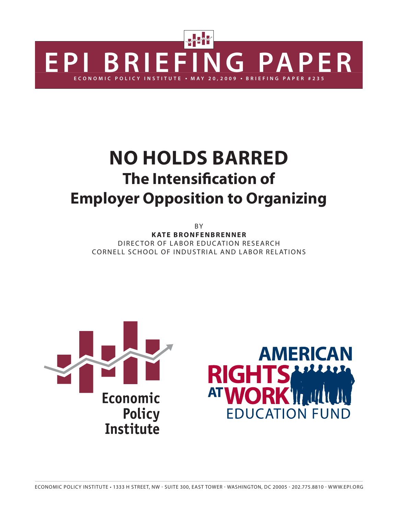

# **NO HOLDS BARRED The Intensification of Employer Opposition to Organizing**

**BY** 

**KATE BRONFENBRENNER** DIRECTOR OF LABOR EDUCATION RESEARCH CORNELL SCHOOL OF INDUSTRIAL AND LABOR RELATIONS



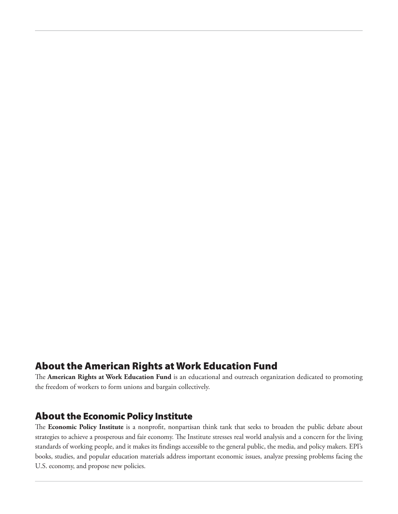### **About the American Rights at Work Education Fund**

The American Rights at Work Education Fund is an educational and outreach organization dedicated to promoting the freedom of workers to form unions and bargain collectively.

### **About the Economic Policy Institute**

The Economic Policy Institute is a nonprofit, nonpartisan think tank that seeks to broaden the public debate about strategies to achieve a prosperous and fair economy. The Institute stresses real world analysis and a concern for the living standards of working people, and it makes its findings accessible to the general public, the media, and policy makers. EPI's books, studies, and popular education materials address important economic issues, analyze pressing problems facing the U.S. economy, and propose new policies.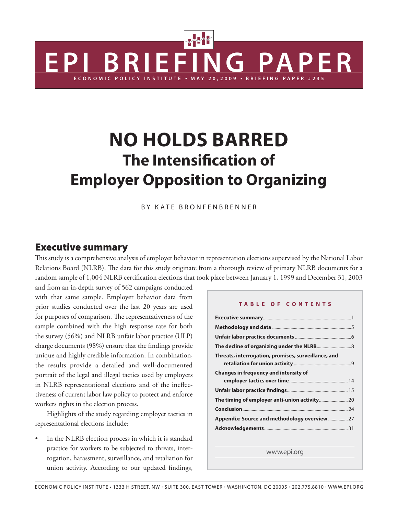# **NO HOLDS BARRED The Intensification of Employer Opposition to Organizing**

**ECONOMIC POLICY INSTITUTE** ● **M A Y 2 0 , 2 0 0 9** ● **BRIEFING PAPER #235**

**ERIEFING PAPER** 

BY KATE BRONFENBRENNER

#### **Executive summary**

This study is a comprehensive analysis of employer behavior in representation elections supervised by the National Labor Relations Board (NLRB). The data for this study originate from a thorough review of primary NLRB documents for a random sample of 1,004 NLRB certification elections that took place between January 1, 1999 and December 31, 2003

and from an in-depth survey of 562 campaigns conducted with that same sample. Employer behavior data from prior studies conducted over the last 20 years are used for purposes of comparison. The representativeness of the sample combined with the high response rate for both the survey (56%) and NLRB unfair labor practice (ULP) charge documents (98%) ensure that the findings provide unique and highly credible information. In combination, the results provide a detailed and well-documented portrait of the legal and illegal tactics used by employers in NLRB representational elections and of the ineffectiveness of current labor law policy to protect and enforce workers rights in the election process.

 Highlights of the study regarding employer tactics in representational elections include:

In the NLRB election process in which it is standard practice for workers to be subjected to threats, interrogation, harassment, surveillance, and retaliation for union activity. According to our updated findings,

#### **TABLE OF CONTENTS**

| Threats, interrogation, promises, surveillance, and |
|-----------------------------------------------------|
|                                                     |
| <b>Changes in frequency and intensity of</b>        |
|                                                     |
|                                                     |
|                                                     |
|                                                     |
| Appendix: Source and methodology overview  27       |
|                                                     |

www.epi.org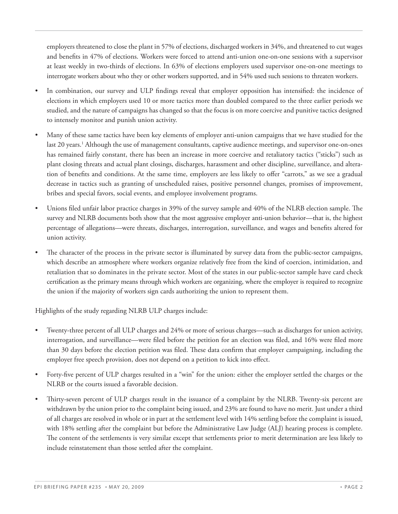employers threatened to close the plant in 57% of elections, discharged workers in 34%, and threatened to cut wages and benefits in 47% of elections. Workers were forced to attend anti-union one-on-one sessions with a supervisor at least weekly in two-thirds of elections. In 63% of elections employers used supervisor one-on-one meetings to interrogate workers about who they or other workers supported, and in 54% used such sessions to threaten workers.

- In combination, our survey and ULP findings reveal that employer opposition has intensified: the incidence of elections in which employers used 10 or more tactics more than doubled compared to the three earlier periods we studied, and the nature of campaigns has changed so that the focus is on more coercive and punitive tactics designed to intensely monitor and punish union activity.
- Many of these same tactics have been key elements of employer anti-union campaigns that we have studied for the last 20 years.<sup>1</sup> Although the use of management consultants, captive audience meetings, and supervisor one-on-ones has remained fairly constant, there has been an increase in more coercive and retaliatory tactics ("sticks") such as plant closing threats and actual plant closings, discharges, harassment and other discipline, surveillance, and alteration of benefits and conditions. At the same time, employers are less likely to offer "carrots," as we see a gradual decrease in tactics such as granting of unscheduled raises, positive personnel changes, promises of improvement, bribes and special favors, social events, and employee involvement programs.
- Unions filed unfair labor practice charges in 39% of the survey sample and 40% of the NLRB election sample. The survey and NLRB documents both show that the most aggressive employer anti-union behavior—that is, the highest percentage of allegations—were threats, discharges, interrogation, surveillance, and wages and benefits altered for union activity.
- The character of the process in the private sector is illuminated by survey data from the public-sector campaigns, which describe an atmosphere where workers organize relatively free from the kind of coercion, intimidation, and retaliation that so dominates in the private sector. Most of the states in our public-sector sample have card check certification as the primary means through which workers are organizing, where the employer is required to recognize the union if the majority of workers sign cards authorizing the union to represent them.

Highlights of the study regarding NLRB ULP charges include:

- Twenty-three percent of all ULP charges and 24% or more of serious charges—such as discharges for union activity, interrogation, and surveillance—were filed before the petition for an election was filed, and 16% were filed more than 30 days before the election petition was filed. These data confirm that employer campaigning, including the employer free speech provision, does not depend on a petition to kick into effect.
- Forty-five percent of ULP charges resulted in a "win" for the union: either the employer settled the charges or the NLRB or the courts issued a favorable decision.
- Thirty-seven percent of ULP charges result in the issuance of a complaint by the NLRB. Twenty-six percent are withdrawn by the union prior to the complaint being issued, and 23% are found to have no merit. Just under a third of all charges are resolved in whole or in part at the settlement level with 14% settling before the complaint is issued, with 18% settling after the complaint but before the Administrative Law Judge (ALJ) hearing process is complete. The content of the settlements is very similar except that settlements prior to merit determination are less likely to include reinstatement than those settled after the complaint.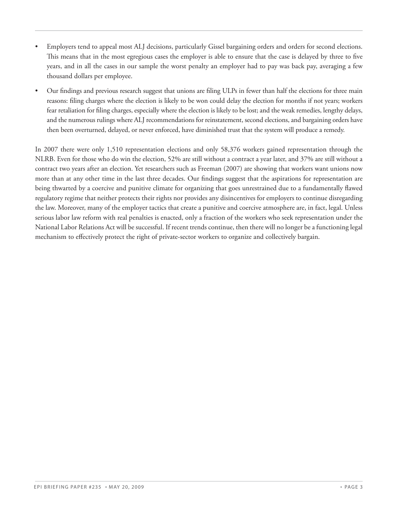- Employers tend to appeal most ALJ decisions, particularly Gissel bargaining orders and orders for second elections. This means that in the most egregious cases the employer is able to ensure that the case is delayed by three to five years, and in all the cases in our sample the worst penalty an employer had to pay was back pay, averaging a few thousand dollars per employee.
- Our findings and previous research suggest that unions are filing ULPs in fewer than half the elections for three main reasons: filing charges where the election is likely to be won could delay the election for months if not years; workers fear retaliation for filing charges, especially where the election is likely to be lost; and the weak remedies, lengthy delays, and the numerous rulings where ALJ recommendations for reinstatement, second elections, and bargaining orders have then been overturned, delayed, or never enforced, have diminished trust that the system will produce a remedy.

In 2007 there were only 1,510 representation elections and only 58,376 workers gained representation through the NLRB. Even for those who do win the election, 52% are still without a contract a year later, and 37% are still without a contract two years after an election. Yet researchers such as Freeman (2007) are showing that workers want unions now more than at any other time in the last three decades. Our findings suggest that the aspirations for representation are being thwarted by a coercive and punitive climate for organizing that goes unrestrained due to a fundamentally flawed regulatory regime that neither protects their rights nor provides any disincentives for employers to continue disregarding the law. Moreover, many of the employer tactics that create a punitive and coercive atmosphere are, in fact, legal. Unless serious labor law reform with real penalties is enacted, only a fraction of the workers who seek representation under the National Labor Relations Act will be successful. If recent trends continue, then there will no longer be a functioning legal mechanism to effectively protect the right of private-sector workers to organize and collectively bargain.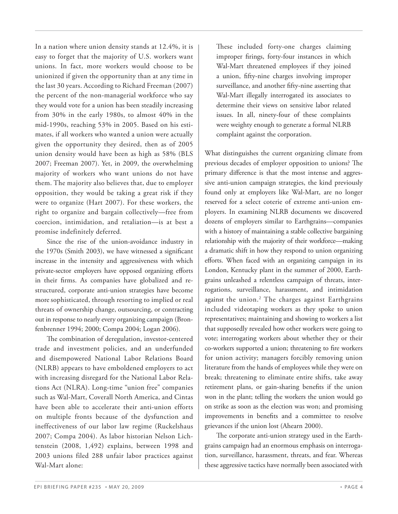In a nation where union density stands at 12.4%, it is easy to forget that the majority of U.S. workers want unions. In fact, more workers would choose to be unionized if given the opportunity than at any time in the last 30 years. According to Richard Freeman (2007) the percent of the non-managerial workforce who say they would vote for a union has been steadily increasing from 30% in the early 1980s, to almost 40% in the mid-1990s, reaching 53% in 2005. Based on his estimates, if all workers who wanted a union were actually given the opportunity they desired, then as of 2005 union density would have been as high as 58% (BLS 2007; Freeman 2007). Yet, in 2009, the overwhelming majority of workers who want unions do not have them. The majority also believes that, due to employer opposition, they would be taking a great risk if they were to organize (Hart 2007). For these workers, the right to organize and bargain collectively—free from coercion, intimidation, and retaliation—is at best a promise indefinitely deferred.

 Since the rise of the union-avoidance industry in the 1970s (Smith 2003), we have witnessed a significant increase in the intensity and aggressiveness with which private-sector employers have opposed organizing efforts in their firms. As companies have globalized and restructured, corporate anti-union strategies have become more sophisticated, through resorting to implied or real threats of ownership change, outsourcing, or contracting out in response to nearly every organizing campaign (Bronfenbrenner 1994; 2000; Compa 2004; Logan 2006).

The combination of deregulation, investor-centered trade and investment policies, and an underfunded and disempowered National Labor Relations Board (NLRB) appears to have emboldened employers to act with increasing disregard for the National Labor Relations Act (NLRA). Long-time "union free" companies such as Wal-Mart, Coverall North America, and Cintas have been able to accelerate their anti-union efforts on multiple fronts because of the dysfunction and ineffectiveness of our labor law regime (Ruckelshaus 2007; Compa 2004). As labor historian Nelson Lichtenstein (2008, 1,492) explains, between 1998 and 2003 unions filed 288 unfair labor practices against Wal-Mart alone:

These included forty-one charges claiming improper firings, forty-four instances in which Wal-Mart threatened employees if they joined a union, fifty-nine charges involving improper surveillance, and another fifty-nine asserting that Wal-Mart illegally interrogated its associates to determine their views on sensitive labor related issues. In all, ninety-four of these complaints were weighty enough to generate a formal NLRB complaint against the corporation.

What distinguishes the current organizing climate from previous decades of employer opposition to unions? The primary difference is that the most intense and aggressive anti-union campaign strategies, the kind previously found only at employers like Wal-Mart, are no longer reserved for a select coterie of extreme anti-union employers. In examining NLRB documents we discovered dozens of employers similar to Earthgrains—companies with a history of maintaining a stable collective bargaining relationship with the majority of their workforce—making a dramatic shift in how they respond to union organizing efforts. When faced with an organizing campaign in its London, Kentucky plant in the summer of 2000, Earthgrains unleashed a relentless campaign of threats, interrogations, surveillance, harassment, and intimidation against the union.<sup>2</sup> The charges against Earthgrains included videotaping workers as they spoke to union representatives; maintaining and showing to workers a list that supposedly revealed how other workers were going to vote; interrogating workers about whether they or their co-workers supported a union; threatening to fire workers for union activity; managers forcibly removing union literature from the hands of employees while they were on break; threatening to eliminate entire shifts, take away retirement plans, or gain-sharing benefits if the union won in the plant; telling the workers the union would go on strike as soon as the election was won; and promising improvements in benefits and a committee to resolve grievances if the union lost (Ahearn 2000).

The corporate anti-union strategy used in the Earthgrains campaign had an enormous emphasis on interrogation, surveillance, harassment, threats, and fear. Whereas these aggressive tactics have normally been associated with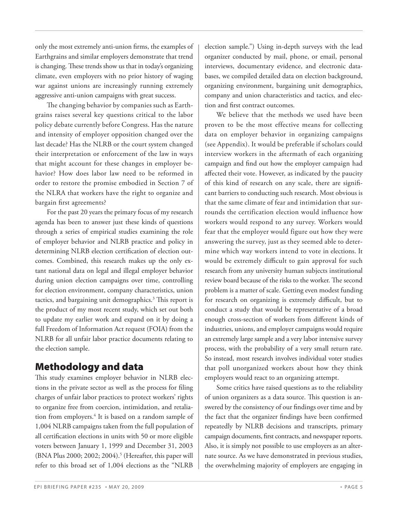only the most extremely anti-union firms, the examples of Earthgrains and similar employers demonstrate that trend is changing. These trends show us that in today's organizing climate, even employers with no prior history of waging war against unions are increasingly running extremely aggressive anti-union campaigns with great success.

The changing behavior by companies such as Earthgrains raises several key questions critical to the labor policy debate currently before Congress. Has the nature and intensity of employer opposition changed over the last decade? Has the NLRB or the court system changed their interpretation or enforcement of the law in ways that might account for these changes in employer behavior? How does labor law need to be reformed in order to restore the promise embodied in Section 7 of the NLRA that workers have the right to organize and bargain first agreements?

 For the past 20 years the primary focus of my research agenda has been to answer just these kinds of questions through a series of empirical studies examining the role of employer behavior and NLRB practice and policy in determining NLRB election certification of election outcomes. Combined, this research makes up the only extant national data on legal and illegal employer behavior during union election campaigns over time, controlling for election environment, company characteristics, union tactics, and bargaining unit demographics.<sup>3</sup> This report is the product of my most recent study, which set out both to update my earlier work and expand on it by doing a full Freedom of Information Act request (FOIA) from the NLRB for all unfair labor practice documents relating to the election sample.

# **Methodology and data**

This study examines employer behavior in NLRB elections in the private sector as well as the process for filing charges of unfair labor practices to protect workers' rights to organize free from coercion, intimidation, and retaliation from employers.<sup>4</sup> It is based on a random sample of 1,004 NLRB campaigns taken from the full population of all certification elections in units with 50 or more eligible voters between January 1, 1999 and December 31, 2003 (BNA Plus 2000; 2002; 2004).<sup>5</sup> (Hereafter, this paper will refer to this broad set of 1,004 elections as the "NLRB

election sample.") Using in-depth surveys with the lead organizer conducted by mail, phone, or email, personal interviews, documentary evidence, and electronic databases, we compiled detailed data on election background, organizing environment, bargaining unit demographics, company and union characteristics and tactics, and election and first contract outcomes.

 We believe that the methods we used have been proven to be the most effective means for collecting data on employer behavior in organizing campaigns (see Appendix). It would be preferable if scholars could interview workers in the aftermath of each organizing campaign and find out how the employer campaign had affected their vote. However, as indicated by the paucity of this kind of research on any scale, there are significant barriers to conducting such research. Most obvious is that the same climate of fear and intimidation that surrounds the certification election would influence how workers would respond to any survey. Workers would fear that the employer would figure out how they were answering the survey, just as they seemed able to determine which way workers intend to vote in elections. It would be extremely difficult to gain approval for such research from any university human subjects institutional review board because of the risks to the worker. The second problem is a matter of scale. Getting even modest funding for research on organizing is extremely difficult, but to conduct a study that would be representative of a broad enough cross-section of workers from different kinds of industries, unions, and employer campaigns would require an extremely large sample and a very labor intensive survey process, with the probability of a very small return rate. So instead, most research involves individual voter studies that poll unorganized workers about how they think employers would react to an organizing attempt.

 Some critics have raised questions as to the reliability of union organizers as a data source. This question is answered by the consistency of our findings over time and by the fact that the organizer findings have been confirmed repeatedly by NLRB decisions and transcripts, primary campaign documents, first contracts, and newspaper reports. Also, it is simply not possible to use employers as an alternate source. As we have demonstrated in previous studies, the overwhelming majority of employers are engaging in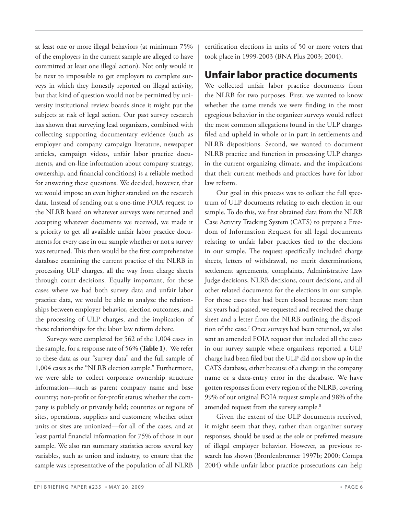at least one or more illegal behaviors (at minimum 75% of the employers in the current sample are alleged to have committed at least one illegal action). Not only would it be next to impossible to get employers to complete surveys in which they honestly reported on illegal activity, but that kind of question would not be permitted by university institutional review boards since it might put the subjects at risk of legal action. Our past survey research has shown that surveying lead organizers, combined with collecting supporting documentary evidence (such as employer and company campaign literature, newspaper articles, campaign videos, unfair labor practice documents, and on-line information about company strategy, ownership, and financial conditions) is a reliable method for answering these questions. We decided, however, that we would impose an even higher standard on the research data. Instead of sending out a one-time FOIA request to the NLRB based on whatever surveys were returned and accepting whatever documents we received, we made it a priority to get all available unfair labor practice documents for every case in our sample whether or not a survey was returned. This then would be the first comprehensive database examining the current practice of the NLRB in processing ULP charges, all the way from charge sheets through court decisions. Equally important, for those cases where we had both survey data and unfair labor practice data, we would be able to analyze the relationships between employer behavior, election outcomes, and the processing of ULP charges, and the implication of these relationships for the labor law reform debate.

 Surveys were completed for 562 of the 1,004 cases in the sample, for a response rate of 56% (**Table 1**). We refer to these data as our "survey data" and the full sample of 1,004 cases as the "NLRB election sample." Furthermore, we were able to collect corporate ownership structure information—such as parent company name and base country; non-profit or for-profit status; whether the company is publicly or privately held; countries or regions of sites, operations, suppliers and customers; whether other units or sites are unionized—for all of the cases, and at least partial financial information for 75% of those in our sample. We also ran summary statistics across several key variables, such as union and industry, to ensure that the sample was representative of the population of all NLRB

certification elections in units of 50 or more voters that took place in 1999-2003 (BNA Plus 2003; 2004).

# **Unfair labor practice documents**

We collected unfair labor practice documents from the NLRB for two purposes. First, we wanted to know whether the same trends we were finding in the most egregious behavior in the organizer surveys would reflect the most common allegations found in the ULP charges filed and upheld in whole or in part in settlements and NLRB dispositions. Second, we wanted to document NLRB practice and function in processing ULP charges in the current organizing climate, and the implications that their current methods and practices have for labor law reform.

 Our goal in this process was to collect the full spectrum of ULP documents relating to each election in our sample. To do this, we first obtained data from the NLRB Case Activity Tracking System (CATS) to prepare a Freedom of Information Request for all legal documents relating to unfair labor practices tied to the elections in our sample. The request specifically included charge sheets, letters of withdrawal, no merit determinations, settlement agreements, complaints, Administrative Law Judge decisions, NLRB decisions, court decisions, and all other related documents for the elections in our sample. For those cases that had been closed because more than six years had passed, we requested and received the charge sheet and a letter from the NLRB outlining the disposition of the case.7 Once surveys had been returned, we also sent an amended FOIA request that included all the cases in our survey sample where organizers reported a ULP charge had been filed but the ULP did not show up in the CATS database, either because of a change in the company name or a data-entry error in the database. We have gotten responses from every region of the NLRB, covering 99% of our original FOIA request sample and 98% of the amended request from the survey sample.<sup>8</sup>

 Given the extent of the ULP documents received, it might seem that they, rather than organizer survey responses, should be used as the sole or preferred measure of illegal employer behavior. However, as previous research has shown (Bronfenbrenner 1997b; 2000; Compa 2004) while unfair labor practice prosecutions can help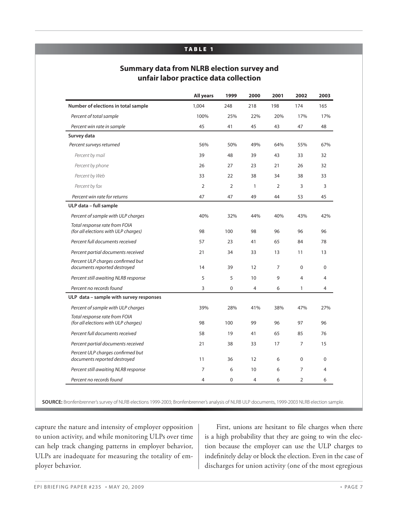#### **TABLE 1**

#### **Summary data from NLRB election survey and unfair labor practice data collection**

|                                                                       | <b>All years</b> | 1999           | 2000           | 2001           | 2002           | 2003        |
|-----------------------------------------------------------------------|------------------|----------------|----------------|----------------|----------------|-------------|
| Number of elections in total sample                                   | 1,004            | 248            | 218            | 198            | 174            | 165         |
| Percent of total sample                                               | 100%             | 25%            | 22%            | 20%            | 17%            | 17%         |
| Percent win rate in sample                                            | 45               | 41             | 45             | 43             | 47             | 48          |
| Survey data                                                           |                  |                |                |                |                |             |
| Percent surveys returned                                              | 56%              | 50%            | 49%            | 64%            | 55%            | 67%         |
| Percent by mail                                                       | 39               | 48             | 39             | 43             | 33             | 32          |
| Percent by phone                                                      | 26               | 27             | 23             | 21             | 26             | 32          |
| Percent by Web                                                        | 33               | 22             | 38             | 34             | 38             | 33          |
| Percent by fax                                                        | 2                | $\overline{2}$ | $\mathbf{1}$   | $\overline{2}$ | 3              | 3           |
| Percent win rate for returns                                          | 47               | 47             | 49             | 44             | 53             | 45          |
| ULP data - full sample                                                |                  |                |                |                |                |             |
| Percent of sample with ULP charges                                    | 40%              | 32%            | 44%            | 40%            | 43%            | 42%         |
| Total response rate from FOIA<br>(for all elections with ULP charges) | 98               | 100            | 98             | 96             | 96             | 96          |
| Percent full documents received                                       | 57               | 23             | 41             | 65             | 84             | 78          |
| Percent partial documents received                                    | 21               | 34             | 33             | 13             | 11             | 13          |
| Percent ULP charges confirmed but<br>documents reported destroyed     | 14               | 39             | 12             | $\overline{7}$ | $\Omega$       | $\Omega$    |
| Percent still awaiting NLRB response                                  | 5                | 5              | 10             | 9              | 4              | 4           |
| Percent no records found                                              | 3                | $\mathbf 0$    | $\overline{4}$ | 6              | $\mathbf{1}$   | 4           |
| ULP data - sample with survey responses                               |                  |                |                |                |                |             |
| Percent of sample with ULP charges                                    | 39%              | 28%            | 41%            | 38%            | 47%            | 27%         |
| Total response rate from FOIA<br>(for all elections with ULP charges) | 98               | 100            | 99             | 96             | 97             | 96          |
| Percent full documents received                                       | 58               | 19             | 41             | 65             | 85             | 76          |
| Percent partial documents received                                    | 21               | 38             | 33             | 17             | $\overline{7}$ | 15          |
| Percent ULP charges confirmed but<br>documents reported destroyed     | 11               | 36             | 12             | 6              | $\mathbf 0$    | $\mathbf 0$ |
| Percent still awaiting NLRB response                                  | $\overline{7}$   | 6              | 10             | 6              | 7              | 4           |
| Percent no records found                                              | $\overline{4}$   | 0              | $\overline{4}$ | 6              | 2              | 6           |

**SOURCE:** Bronfenbrenner's survey of NLRB elections 1999-2003; Bronfenbrenner's analysis of NLRB ULP documents, 1999-2003 NLRB election sample.

capture the nature and intensity of employer opposition to union activity, and while monitoring ULPs over time can help track changing patterns in employer behavior, ULPs are inadequate for measuring the totality of employer behavior.

First, unions are hesitant to file charges when there is a high probability that they are going to win the election because the employer can use the ULP charges to indefinitely delay or block the election. Even in the case of discharges for union activity (one of the most egregious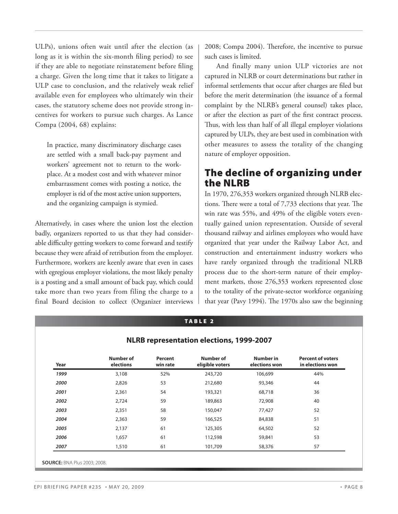ULPs), unions often wait until after the election (as long as it is within the six-month filing period) to see if they are able to negotiate reinstatement before filing a charge. Given the long time that it takes to litigate a ULP case to conclusion, and the relatively weak relief available even for employees who ultimately win their cases, the statutory scheme does not provide strong incentives for workers to pursue such charges. As Lance Compa (2004, 68) explains:

In practice, many discriminatory discharge cases are settled with a small back-pay payment and workers' agreement not to return to the workplace. At a modest cost and with whatever minor embarrassment comes with posting a notice, the employer is rid of the most active union supporters, and the organizing campaign is stymied.

Alternatively, in cases where the union lost the election badly, organizers reported to us that they had considerable difficulty getting workers to come forward and testify because they were afraid of retribution from the employer. Furthermore, workers are keenly aware that even in cases with egregious employer violations, the most likely penalty is a posting and a small amount of back pay, which could take more than two years from filing the charge to a final Board decision to collect (Organizer interviews 2008; Compa 2004). Therefore, the incentive to pursue such cases is limited.

 And finally many union ULP victories are not captured in NLRB or court determinations but rather in informal settlements that occur after charges are filed but before the merit determination (the issuance of a formal complaint by the NLRB's general counsel) takes place, or after the election as part of the first contract process. Thus, with less than half of all illegal employer violations captured by ULPs, they are best used in combination with other measures to assess the totality of the changing nature of employer opposition.

### **The decline of organizing under the NLRB**

In 1970, 276,353 workers organized through NLRB elections. There were a total of  $7,733$  elections that year. The win rate was 55%, and 49% of the eligible voters eventually gained union representation. Outside of several thousand railway and airlines employees who would have organized that year under the Railway Labor Act, and construction and entertainment industry workers who have rarely organized through the traditional NLRB process due to the short-term nature of their employment markets, those 276,353 workers represented close to the totality of the private-sector workforce organizing that year (Pavy 1994). The 1970s also saw the beginning

|  |  | <b>NLRB representation elections, 1999-2007</b> |
|--|--|-------------------------------------------------|

**TABLE 2**

| Year | <b>Number of</b><br>elections | Percent<br>win rate | <b>Number of</b><br>eligible voters | <b>Number in</b><br>elections won | <b>Percent of voters</b><br>in elections won |
|------|-------------------------------|---------------------|-------------------------------------|-----------------------------------|----------------------------------------------|
| 1999 | 3,108                         | 52%                 | 243,720                             | 106,699                           | 44%                                          |
| 2000 | 2,826                         | 53                  | 212,680                             | 93,346                            | 44                                           |
| 2001 | 2,361                         | 54                  | 193,321                             | 68,718                            | 36                                           |
| 2002 | 2,724                         | 59                  | 189,863                             | 72,908                            | 40                                           |
| 2003 | 2,351                         | 58                  | 150,047                             | 77,427                            | 52                                           |
| 2004 | 2,363                         | 59                  | 166,525                             | 84,838                            | 51                                           |
| 2005 | 2,137                         | 61                  | 125,305                             | 64,502                            | 52                                           |
| 2006 | 1,657                         | 61                  | 112,598                             | 59,841                            | 53                                           |
| 2007 | 1,510                         | 61                  | 101,709                             | 58,376                            | 57                                           |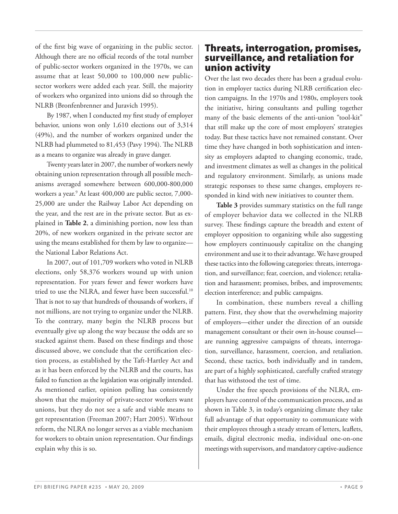of the first big wave of organizing in the public sector. Although there are no official records of the total number of public-sector workers organized in the 1970s, we can assume that at least 50,000 to 100,000 new publicsector workers were added each year. Still, the majority of workers who organized into unions did so through the NLRB (Bronfenbrenner and Juravich 1995).

By 1987, when I conducted my first study of employer behavior, unions won only 1,610 elections out of 3,314 (49%), and the number of workers organized under the NLRB had plummeted to 81,453 (Pavy 1994). The NLRB as a means to organize was already in grave danger.

 Twenty years later in 2007, the number of workers newly obtaining union representation through all possible mechanisms averaged somewhere between 600,000-800,000 workers a year.9 At least 400,000 are public sector, 7,000- 25,000 are under the Railway Labor Act depending on the year, and the rest are in the private sector. But as explained in **Table 2**, a diminishing portion, now less than 20%, of new workers organized in the private sector are using the means established for them by law to organize the National Labor Relations Act.

 In 2007, out of 101,709 workers who voted in NLRB elections, only 58,376 workers wound up with union representation. For years fewer and fewer workers have tried to use the NLRA, and fewer have been successful.<sup>10</sup> That is not to say that hundreds of thousands of workers, if not millions, are not trying to organize under the NLRB. To the contrary, many begin the NLRB process but eventually give up along the way because the odds are so stacked against them. Based on these findings and those discussed above, we conclude that the certification election process, as established by the Taft-Hartley Act and as it has been enforced by the NLRB and the courts, has failed to function as the legislation was originally intended. As mentioned earlier, opinion polling has consistently shown that the majority of private-sector workers want unions, but they do not see a safe and viable means to get representation (Freeman 2007; Hart 2005). Without reform, the NLRA no longer serves as a viable mechanism for workers to obtain union representation. Our findings explain why this is so.

### **Threats, interrogation, promises, surveillance, and retaliation for union activity**

Over the last two decades there has been a gradual evolution in employer tactics during NLRB certification election campaigns. In the 1970s and 1980s, employers took the initiative, hiring consultants and pulling together many of the basic elements of the anti-union "tool-kit" that still make up the core of most employers' strategies today. But these tactics have not remained constant. Over time they have changed in both sophistication and intensity as employers adapted to changing economic, trade, and investment climates as well as changes in the political and regulatory environment. Similarly, as unions made strategic responses to these same changes, employers responded in kind with new initiatives to counter them.

**Table 3** provides summary statistics on the full range of employer behavior data we collected in the NLRB survey. These findings capture the breadth and extent of employer opposition to organizing while also suggesting how employers continuously capitalize on the changing environment and use it to their advantage. We have grouped these tactics into the following categories: threats, interrogation, and surveillance; fear, coercion, and violence; retaliation and harassment; promises, bribes, and improvements; election interference; and public campaigns.

 In combination, these numbers reveal a chilling pattern. First, they show that the overwhelming majority of employers—either under the direction of an outside management consultant or their own in-house counsel are running aggressive campaigns of threats, interrogation, surveillance, harassment, coercion, and retaliation. Second, these tactics, both individually and in tandem, are part of a highly sophisticated, carefully crafted strategy that has withstood the test of time.

 Under the free speech provisions of the NLRA, employers have control of the communication process, and as shown in Table 3, in today's organizing climate they take full advantage of that opportunity to communicate with their employees through a steady stream of letters, leaflets, emails, digital electronic media, individual one-on-one meetings with supervisors, and mandatory captive-audience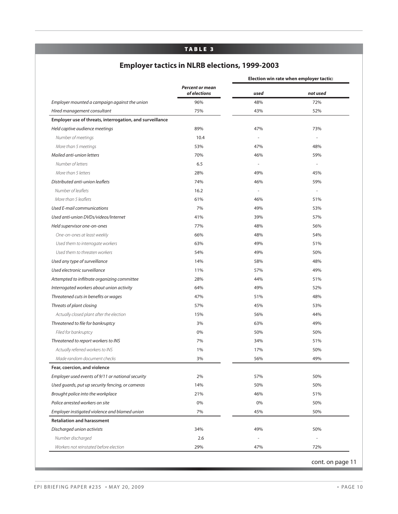#### **TABLE 3**

# **Employer tactics in NLRB elections, 1999-2003**

|                                                          |                                        |           | Election win rate when employer tactic: |
|----------------------------------------------------------|----------------------------------------|-----------|-----------------------------------------|
|                                                          | <b>Percent or mean</b><br>of elections | used      | not used                                |
| Employer mounted a campaign against the union            | 96%                                    | 48%       | 72%                                     |
| Hired management consultant                              | 75%                                    | 43%       | 52%                                     |
| Employer use of threats, interrogation, and surveillance |                                        |           |                                         |
| Held captive audience meetings                           | 89%                                    | 47%       | 73%                                     |
| Number of meetings                                       | 10.4                                   |           |                                         |
| More than 5 meetings                                     | 53%                                    | 47%       | 48%                                     |
| Mailed anti-union letters                                | 70%                                    | 46%       | 59%                                     |
| Number of letters                                        | 6.5                                    | $\bar{a}$ |                                         |
| More than 5 letters                                      | 28%                                    | 49%       | 45%                                     |
| Distributed anti-union leaflets                          | 74%                                    | 46%       | 59%                                     |
| Number of leaflets                                       | 16.2                                   |           |                                         |
| More than 5 leaflets                                     | 61%                                    | 46%       | 51%                                     |
| Used E-mail communications                               | 7%                                     | 49%       | 53%                                     |
| Used anti-union DVDs/videos/Internet                     | 41%                                    | 39%       | 57%                                     |
| Held supervisor one-on-ones                              | 77%                                    | 48%       | 56%                                     |
| One-on-ones at least weekly                              | 66%                                    | 48%       | 54%                                     |
| Used them to interrogate workers                         | 63%                                    | 49%       | 51%                                     |
| Used them to threaten workers                            | 54%                                    | 49%       | 50%                                     |
| Used any type of surveillance                            | 14%                                    | 58%       | 48%                                     |
| Used electronic surveillance                             | 11%                                    | 57%       | 49%                                     |
| Attempted to infiltrate organizing committee             | 28%                                    | 44%       | 51%                                     |
| Interrogated workers about union activity                | 64%                                    | 49%       | 52%                                     |
| Threatened cuts in benefits or wages                     | 47%                                    | 51%       | 48%                                     |
| Threats of plant closing                                 | 57%                                    | 45%       | 53%                                     |
| Actually closed plant after the election                 | 15%                                    | 56%       | 44%                                     |
| Threatened to file for bankruptcy                        | 3%                                     | 63%       | 49%                                     |
| Filed for bankruptcy                                     | 0%                                     | 50%       | 50%                                     |
| Threatened to report workers to INS                      | 7%                                     | 34%       | 51%                                     |
| Actually referred workers to INS                         | 1%                                     | 17%       | 50%                                     |
| Made random document checks                              | 3%                                     | 56%       | 49%                                     |
| Fear, coercion, and violence                             |                                        |           |                                         |
| Employer used events of 9/11 or national security        | 2%                                     | 57%       | 50%                                     |
| Used guards, put up security fencing, or cameras         | 14%                                    | 50%       | 50%                                     |
| Brought police into the workplace                        | 21%                                    | 46%       | 51%                                     |
| Police arrested workers on site                          | 0%                                     | 0%        | 50%                                     |
| Employer instigated violence and blamed union            | 7%                                     | 45%       | 50%                                     |
| <b>Retaliation and harassment</b>                        |                                        |           |                                         |
| Discharged union activists                               | 34%                                    | 49%       | 50%                                     |
| Number discharged                                        | 2.6                                    |           |                                         |
|                                                          |                                        |           |                                         |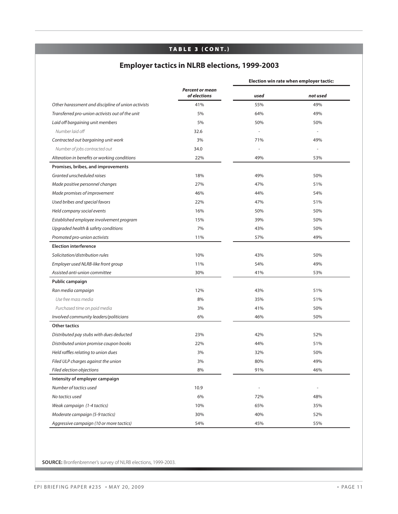#### **TA B L E 3 ( CO N T.)**

# **Employer tactics in NLRB elections, 1999-2003**

|                                                    |                                        | Election win rate when employer tactic: |          |  |  |
|----------------------------------------------------|----------------------------------------|-----------------------------------------|----------|--|--|
|                                                    | <b>Percent or mean</b><br>of elections | used                                    | not used |  |  |
| Other harassment and discipline of union activists | 41%                                    | 55%                                     | 49%      |  |  |
| Transferred pro-union activists out of the unit    | 5%                                     | 64%                                     | 49%      |  |  |
| Laid off bargaining unit members                   | 5%                                     | 50%                                     | 50%      |  |  |
| Number laid off                                    | 32.6                                   |                                         | $\sim$   |  |  |
| Contracted out bargaining unit work                | 3%                                     | 71%                                     | 49%      |  |  |
| Number of jobs contracted out                      | 34.0                                   |                                         |          |  |  |
| Alteration in benefits or working conditions       | 22%                                    | 49%                                     | 53%      |  |  |
| Promises, bribes, and improvements                 |                                        |                                         |          |  |  |
| Granted unscheduled raises                         | 18%                                    | 49%                                     | 50%      |  |  |
| Made positive personnel changes                    | 27%                                    | 47%                                     | 51%      |  |  |
| Made promises of improvement                       | 46%                                    | 44%                                     | 54%      |  |  |
| Used bribes and special favors                     | 22%                                    | 47%                                     | 51%      |  |  |
| Held company social events                         | 16%                                    | 50%                                     | 50%      |  |  |
| Established employee involvement program           | 15%                                    | 39%                                     | 50%      |  |  |
| Upgraded health & safety conditions                | 7%                                     | 43%                                     | 50%      |  |  |
| Promoted pro-union activists                       | 11%                                    | 57%                                     | 49%      |  |  |
| <b>Election interference</b>                       |                                        |                                         |          |  |  |
| Solicitation/distribution rules                    | 10%                                    | 43%                                     | 50%      |  |  |
| Employer used NLRB-like front group                | 11%                                    | 54%                                     | 49%      |  |  |
| Assisted anti-union committee                      | 30%                                    | 41%                                     | 53%      |  |  |
| Public campaign                                    |                                        |                                         |          |  |  |
| Ran media campaign                                 | 12%                                    | 43%                                     | 51%      |  |  |
| Use free mass media                                | 8%                                     | 35%                                     | 51%      |  |  |
| Purchased time on paid media                       | 3%                                     | 41%                                     | 50%      |  |  |
| Involved community leaders/politicians             | 6%                                     | 46%                                     | 50%      |  |  |
| <b>Other tactics</b>                               |                                        |                                         |          |  |  |
| Distributed pay stubs with dues deducted           | 23%                                    | 42%                                     | 52%      |  |  |
| Distributed union promise coupon books             | 22%                                    | 44%                                     | 51%      |  |  |
| Held raffles relating to union dues                | 3%                                     | 32%                                     | 50%      |  |  |
| Filed ULP charges against the union                | 3%                                     | 80%                                     | 49%      |  |  |
| Filed election objections                          | 8%                                     | 91%                                     | 46%      |  |  |
| Intensity of employer campaign                     |                                        |                                         |          |  |  |
| Number of tactics used                             | 10.9                                   | $\overline{\phantom{a}}$                |          |  |  |
| No tactics used                                    | 6%                                     | 72%                                     | 48%      |  |  |
| Weak campaign (1-4 tactics)                        | 10%                                    | 65%                                     | 35%      |  |  |
| Moderate campaign (5-9 tactics)                    | 30%                                    | 40%                                     | 52%      |  |  |
| Aggressive campaign (10 or more tactics)           | 54%                                    | 45%                                     | 55%      |  |  |

**SOURCE:** Bronfenbrenner's survey of NLRB elections, 1999-2003.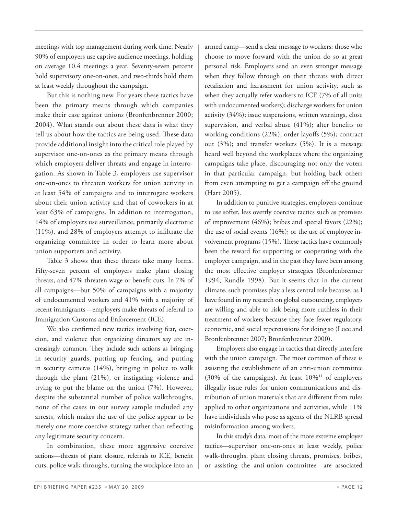meetings with top management during work time. Nearly 90% of employers use captive audience meetings, holding on average 10.4 meetings a year. Seventy-seven percent hold supervisory one-on-ones, and two-thirds hold them at least weekly throughout the campaign.

 But this is nothing new. For years these tactics have been the primary means through which companies make their case against unions (Bronfenbrenner 2000; 2004). What stands out about these data is what they tell us about how the tactics are being used. These data provide additional insight into the critical role played by supervisor one-on-ones as the primary means through which employers deliver threats and engage in interrogation. As shown in Table 3, employers use supervisor one-on-ones to threaten workers for union activity in at least 54% of campaigns and to interrogate workers about their union activity and that of coworkers in at least 63% of campaigns. In addition to interrogation, 14% of employers use surveillance, primarily electronic  $(11\%)$ , and 28% of employers attempt to infiltrate the organizing committee in order to learn more about union supporters and activity.

 Table 3 shows that these threats take many forms. Fifty-seven percent of employers make plant closing threats, and 47% threaten wage or benefit cuts. In 7% of all campaigns—but 50% of campaigns with a majority of undocumented workers and 41% with a majority of recent immigrants—employers make threats of referral to Immigration Customs and Enforcement (ICE).

We also confirmed new tactics involving fear, coercion, and violence that organizing directors say are increasingly common. They include such actions as bringing in security guards, putting up fencing, and putting in security cameras (14%), bringing in police to walk through the plant (21%), or instigating violence and trying to put the blame on the union (7%). However, despite the substantial number of police walkthroughs, none of the cases in our survey sample included any arrests, which makes the use of the police appear to be merely one more coercive strategy rather than reflecting any legitimate security concern.

 In combination, these more aggressive coercive actions—threats of plant closure, referrals to ICE, benefit cuts, police walk-throughs, turning the workplace into an

armed camp—send a clear message to workers: those who choose to move forward with the union do so at great personal risk. Employers send an even stronger message when they follow through on their threats with direct retaliation and harassment for union activity, such as when they actually refer workers to ICE (7% of all units with undocumented workers); discharge workers for union activity (34%); issue suspensions, written warnings, close supervision, and verbal abuse  $(41\%)$ ; alter benefits or working conditions  $(22\%)$ ; order layoffs  $(5\%)$ ; contract out (3%); and transfer workers (5%). It is a message heard well beyond the workplaces where the organizing campaigns take place, discouraging not only the voters in that particular campaign, but holding back others from even attempting to get a campaign off the ground (Hart 2005).

 In addition to punitive strategies, employers continue to use softer, less overtly coercive tactics such as promises of improvement (46%); bribes and special favors (22%); the use of social events (16%); or the use of employee involvement programs (15%). These tactics have commonly been the reward for supporting or cooperating with the employer campaign, and in the past they have been among the most effective employer strategies (Bronfenbrenner 1994; Rundle 1998). But it seems that in the current climate, such promises play a less central role because, as I have found in my research on global outsourcing, employers are willing and able to risk being more ruthless in their treatment of workers because they face fewer regulatory, economic, and social repercussions for doing so (Luce and Bronfenbrenner 2007; Bronfenbrenner 2000).

 Employers also engage in tactics that directly interfere with the union campaign. The most common of these is assisting the establishment of an anti-union committee (30% of the campaigns). At least  $10\%$ <sup>11</sup> of employers illegally issue rules for union communications and distribution of union materials that are different from rules applied to other organizations and activities, while 11% have individuals who pose as agents of the NLRB spread misinformation among workers.

 In this study's data, most of the more extreme employer tactics—supervisor one-on-ones at least weekly, police walk-throughs, plant closing threats, promises, bribes, or assisting the anti-union committee—are associated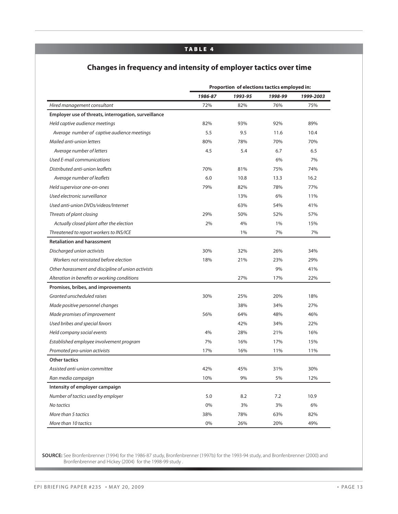#### **TABLE 4**

#### **Changes in frequency and intensity of employer tactics over time**

|                                                      | Proportion of elections tactics employed in: |         |         |           |
|------------------------------------------------------|----------------------------------------------|---------|---------|-----------|
|                                                      | 1986-87                                      | 1993-95 | 1998-99 | 1999-2003 |
| Hired management consultant                          | 72%                                          | 82%     | 76%     | 75%       |
| Employer use of threats, interrogation, surveillance |                                              |         |         |           |
| Held captive audience meetings                       | 82%                                          | 93%     | 92%     | 89%       |
| Average number of captive audience meetings          | 5.5                                          | 9.5     | 11.6    | 10.4      |
| Mailed anti-union letters                            | 80%                                          | 78%     | 70%     | 70%       |
| Average number of letters                            | 4.5                                          | 5.4     | 6.7     | 6.5       |
| Used E-mail communications                           |                                              |         | 6%      | 7%        |
| Distributed anti-union leaflets                      | 70%                                          | 81%     | 75%     | 74%       |
| Average number of leaflets                           | 6.0                                          | 10.8    | 13.3    | 16.2      |
| Held supervisor one-on-ones                          | 79%                                          | 82%     | 78%     | 77%       |
| Used electronic surveillance                         |                                              | 13%     | 6%      | 11%       |
| Used anti-union DVDs/videos/Internet                 |                                              | 63%     | 54%     | 41%       |
| Threats of plant closing                             | 29%                                          | 50%     | 52%     | 57%       |
| Actually closed plant after the election             | 2%                                           | 4%      | 1%      | 15%       |
| Threatened to report workers to INS/ICE              |                                              | 1%      | 7%      | 7%        |
| <b>Retaliation and harassment</b>                    |                                              |         |         |           |
| Discharged union activists                           | 30%                                          | 32%     | 26%     | 34%       |
| Workers not reinstated before election               | 18%                                          | 21%     | 23%     | 29%       |
| Other harassment and discipline of union activists   |                                              |         | 9%      | 41%       |
| Alteration in benefits or working conditions         |                                              | 27%     | 17%     | 22%       |
| Promises, bribes, and improvements                   |                                              |         |         |           |
| Granted unscheduled raises                           | 30%                                          | 25%     | 20%     | 18%       |
| Made positive personnel changes                      |                                              | 38%     | 34%     | 27%       |
| Made promises of improvement                         | 56%                                          | 64%     | 48%     | 46%       |
| Used bribes and special favors                       |                                              | 42%     | 34%     | 22%       |
| Held company social events                           | 4%                                           | 28%     | 21%     | 16%       |
| Established employee involvement program             | 7%                                           | 16%     | 17%     | 15%       |
| Promoted pro-union activists                         | 17%                                          | 16%     | 11%     | 11%       |
| <b>Other tactics</b>                                 |                                              |         |         |           |
| Assisted anti-union committee                        | 42%                                          | 45%     | 31%     | 30%       |
| Ran media campaign                                   | 10%                                          | 9%      | 5%      | 12%       |
| Intensity of employer campaign                       |                                              |         |         |           |
| Number of tactics used by employer                   | 5.0                                          | 8.2     | 7.2     | 10.9      |
| No tactics                                           | 0%                                           | 3%      | 3%      | 6%        |
| More than 5 tactics                                  | 38%                                          | 78%     | 63%     | 82%       |
| More than 10 tactics                                 | $0\%$                                        | 26%     | 20%     | 49%       |

**SOURCE:** See Bronfenbrenner (1994) for the 1986-87 study, Bronfenbrenner (1997b) for the 1993-94 study, and Bronfenbrenner (2000) and Bronfenbrenner and Hickey (2004) for the 1998-99 study .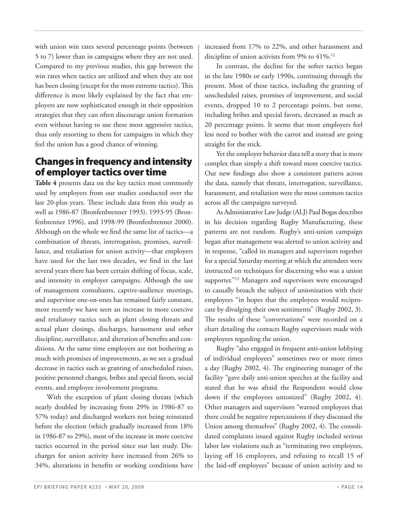with union win rates several percentage points (between 5 to 7) lower than in campaigns where they are not used. Compared to my previous studies, this gap between the win rates when tactics are utilized and when they are not has been closing (except for the most extreme tactics). This difference is most likely explained by the fact that employers are now sophisticated enough in their opposition strategies that they can often discourage union formation even without having to use these most aggressive tactics, thus only resorting to them for campaigns in which they feel the union has a good chance of winning.

# **Changes in frequency and intensity of employer tactics over time**

**Table 4** presents data on the key tactics most commonly used by employers from our studies conducted over the last 20-plus years. These include data from this study as well as 1986-87 (Bronfenbrenner 1993), 1993-95 (Bronfenbrenner 1996), and 1998-99 (Bronfenbrenner 2000). Although on the whole we find the same list of tactics-a combination of threats, interrogation, promises, surveillance, and retaliation for union activity—that employers have used for the last two decades, we find in the last several years there has been certain shifting of focus, scale, and intensity in employer campaigns. Although the use of management consultants, captive-audience meetings, and supervisor one-on-ones has remained fairly constant, more recently we have seen an increase in more coercive and retaliatory tactics such as plant closing threats and actual plant closings, discharges, harassment and other discipline, surveillance, and alteration of benefits and conditions. At the same time employers are not bothering as much with promises of improvements, as we see a gradual decrease in tactics such as granting of unscheduled raises, positive personnel changes, bribes and special favors, social events, and employee involvement programs.

 With the exception of plant closing threats (which nearly doubled by increasing from 29% in 1986-87 to 57% today) and discharged workers not being reinstated before the election (which gradually increased from 18% in 1986-87 to 29%), most of the increase in more coercive tactics occurred in the period since our last study. Discharges for union activity have increased from 26% to 34%, alterations in benefits or working conditions have

increased from 17% to 22%, and other harassment and discipline of union activists from 9% to 41%.<sup>12</sup>

 In contrast, the decline for the softer tactics began in the late 1980s or early 1990s, continuing through the present. Most of these tactics, including the granting of unscheduled raises, promises of improvement, and social events, dropped 10 to 2 percentage points, but some, including bribes and special favors, decreased as much as 20 percentage points. It seems that most employers feel less need to bother with the carrot and instead are going straight for the stick.

 Yet the employer behavior data tell a story that is more complex than simply a shift toward more coercive tactics. Our new findings also show a consistent pattern across the data, namely that threats, interrogation, surveillance, harassment, and retaliation were the most common tactics across all the campaigns surveyed.

 As Administrative Law Judge (ALJ) Paul Bogas describes in his decision regarding Rugby Manufacturing, these patterns are not random. Rugby's anti-union campaign began after management was alerted to union activity and in response, "called its managers and supervisors together for a special Saturday meeting at which the attendees were instructed on techniques for discerning who was a union supporter."<sup>13</sup> Managers and supervisors were encouraged to casually broach the subject of unionization with their employees "in hopes that the employees would reciprocate by divulging their own sentiments" (Rugby 2002, 3). The results of these "conversations" were recorded on a chart detailing the contacts Rugby supervisors made with employees regarding the union.

 Rugby "also engaged in frequent anti-union lobbying of individual employees" sometimes two or more times a day (Rugby 2002, 4). The engineering manager of the facility "gave daily anti-union speeches at the facility and stated that he was afraid the Respondent would close down if the employees unionized" (Rugby 2002, 4). Other managers and supervisors "warned employees that there could be negative repercussions if they discussed the Union among themselves" (Rugby 2002, 4). The consolidated complaints issued against Rugby included serious labor law violations such as "terminating two employees, laying off 16 employees, and refusing to recall 15 of the laid-off employees" because of union activity and to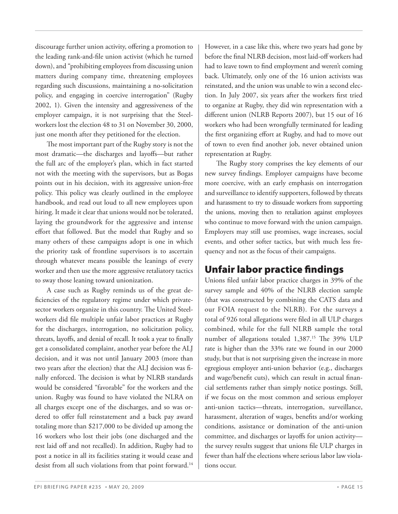discourage further union activity, offering a promotion to the leading rank-and-file union activist (which he turned down), and "prohibiting employees from discussing union matters during company time, threatening employees regarding such discussions, maintaining a no-solicitation policy, and engaging in coercive interrogation" (Rugby 2002, 1). Given the intensity and aggressiveness of the employer campaign, it is not surprising that the Steelworkers lost the election 48 to 31 on November 30, 2000, just one month after they petitioned for the election.

The most important part of the Rugby story is not the most dramatic—the discharges and layoffs—but rather the full arc of the employer's plan, which in fact started not with the meeting with the supervisors, but as Bogas points out in his decision, with its aggressive union-free policy. This policy was clearly outlined in the employee handbook, and read out loud to all new employees upon hiring. It made it clear that unions would not be tolerated, laying the groundwork for the aggressive and intense effort that followed. But the model that Rugby and so many others of these campaigns adopt is one in which the priority task of frontline supervisors is to ascertain through whatever means possible the leanings of every worker and then use the more aggressive retaliatory tactics to sway those leaning toward unionization.

 A case such as Rugby reminds us of the great deficiencies of the regulatory regime under which privatesector workers organize in this country. The United Steelworkers did file multiple unfair labor practices at Rugby for the discharges, interrogation, no solicitation policy, threats, layoffs, and denial of recall. It took a year to finally get a consolidated complaint, another year before the ALJ decision, and it was not until January 2003 (more than two years after the election) that the ALJ decision was finally enforced. The decision is what by NLRB standards would be considered "favorable" for the workers and the union. Rugby was found to have violated the NLRA on all charges except one of the discharges, and so was ordered to offer full reinstatement and a back pay award totaling more than \$217,000 to be divided up among the 16 workers who lost their jobs (one discharged and the rest laid off and not recalled). In addition, Rugby had to post a notice in all its facilities stating it would cease and desist from all such violations from that point forward.<sup>14</sup>

However, in a case like this, where two years had gone by before the final NLRB decision, most laid-off workers had had to leave town to find employment and weren't coming back. Ultimately, only one of the 16 union activists was reinstated, and the union was unable to win a second election. In July 2007, six years after the workers first tried to organize at Rugby, they did win representation with a different union (NLRB Reports 2007), but 15 out of 16 workers who had been wrongfully terminated for leading the first organizing effort at Rugby, and had to move out of town to even find another job, never obtained union representation at Rugby.

The Rugby story comprises the key elements of our new survey findings. Employer campaigns have become more coercive, with an early emphasis on interrogation and surveillance to identify supporters, followed by threats and harassment to try to dissuade workers from supporting the unions, moving then to retaliation against employees who continue to move forward with the union campaign. Employers may still use promises, wage increases, social events, and other softer tactics, but with much less frequency and not as the focus of their campaigns.

# **Unfair labor practice fi ndings**

Unions filed unfair labor practice charges in 39% of the survey sample and 40% of the NLRB election sample (that was constructed by combining the CATS data and our FOIA request to the NLRB). For the surveys a total of 926 total allegations were filed in all ULP charges combined, while for the full NLRB sample the total number of allegations totaled 1,387.<sup>15</sup> The 39% ULP rate is higher than the 33% rate we found in our 2000 study, but that is not surprising given the increase in more egregious employer anti-union behavior (e.g., discharges and wage/benefit cuts), which can result in actual financial settlements rather than simply notice postings. Still, if we focus on the most common and serious employer anti-union tactics—threats, interrogation, surveillance, harassment, alteration of wages, benefits and/or working conditions, assistance or domination of the anti-union committee, and discharges or layoffs for union activitythe survey results suggest that unions file ULP charges in fewer than half the elections where serious labor law violations occur.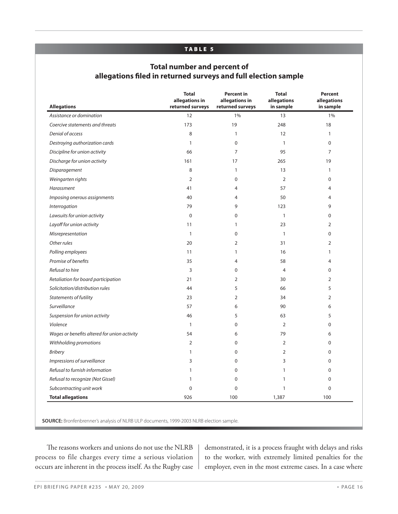#### **TABLE 5**

#### **Total number and percent of allegations fi led in returned surveys and full election sample**

| <b>Allegations</b>                           | <b>Total</b><br>allegations in<br>returned surveys | <b>Percent in</b><br>allegations in<br>returned surveys | <b>Total</b><br>allegations<br>in sample | <b>Percent</b><br>allegations<br>in sample |
|----------------------------------------------|----------------------------------------------------|---------------------------------------------------------|------------------------------------------|--------------------------------------------|
| Assistance or domination                     | 12                                                 | 1%                                                      | 13                                       | 1%                                         |
| Coercive statements and threats              | 173                                                | 19                                                      | 248                                      | 18                                         |
| Denial of access                             | 8                                                  | $\mathbf{1}$                                            | 12                                       | $\mathbf{1}$                               |
| Destroying authorization cards               | $\mathbf{1}$                                       | 0                                                       | $\mathbf{1}$                             | $\mathbf 0$                                |
| Discipline for union activity                | 66                                                 | $\overline{7}$                                          | 95                                       | $\overline{7}$                             |
| Discharge for union activity                 | 161                                                | 17                                                      | 265                                      | 19                                         |
| Disparagement                                | 8                                                  | $\mathbf{1}$                                            | 13                                       | $\mathbf{1}$                               |
| Weingarten rights                            | $\overline{2}$                                     | $\mathbf{0}$                                            | $\overline{2}$                           | 0                                          |
| Harassment                                   | 41                                                 | 4                                                       | 57                                       | 4                                          |
| Imposing onerous assignments                 | 40                                                 | 4                                                       | 50                                       | $\overline{4}$                             |
| Interrogation                                | 79                                                 | 9                                                       | 123                                      | 9                                          |
| Lawsuits for union activity                  | $\mathbf 0$                                        | 0                                                       | $\mathbf{1}$                             | 0                                          |
| Layoff for union activity                    | 11                                                 | 1                                                       | 23                                       | $\overline{2}$                             |
| Misrepresentation                            | $\mathbf{1}$                                       | 0                                                       | $\mathbf{1}$                             | 0                                          |
| Other rules                                  | 20                                                 | $\overline{2}$                                          | 31                                       | $\overline{2}$                             |
| Polling employees                            | 11                                                 | $\mathbf{1}$                                            | 16                                       | $\mathbf{1}$                               |
| Promise of benefits                          | 35                                                 | $\overline{4}$                                          | 58                                       | 4                                          |
| Refusal to hire                              | 3                                                  | $\mathbf{0}$                                            | $\overline{4}$                           | 0                                          |
| Retaliation for board participation          | 21                                                 | 2                                                       | 30                                       | $\overline{2}$                             |
| Solicitation/distribution rules              | 44                                                 | 5                                                       | 66                                       | 5                                          |
| <b>Statements of futility</b>                | 23                                                 | 2                                                       | 34                                       | $\overline{2}$                             |
| Surveillance                                 | 57                                                 | 6                                                       | 90                                       | 6                                          |
| Suspension for union activity                | 46                                                 | 5                                                       | 63                                       | 5                                          |
| Violence                                     | $\mathbf{1}$                                       | 0                                                       | $\overline{2}$                           | 0                                          |
| Wages or benefits altered for union activity | 54                                                 | 6                                                       | 79                                       | 6                                          |
| Withholding promotions                       | $\overline{2}$                                     | 0                                                       | $\overline{2}$                           | 0                                          |
| <b>Bribery</b>                               | $\mathbf{1}$                                       | 0                                                       | $\overline{2}$                           | 0                                          |
| Impressions of surveillance                  | 3                                                  | 0                                                       | 3                                        | 0                                          |
| Refusal to furnish information               | $\mathbf{1}$                                       | 0                                                       | $\mathbf{1}$                             | 0                                          |
| Refusal to recognize (Not Gissel)            | $\mathbf{1}$                                       | 0                                                       | $\mathbf{1}$                             | 0                                          |
| Subcontracting unit work                     | $\mathbf 0$                                        | 0                                                       | $\mathbf{1}$                             | $\mathbf 0$                                |
| <b>Total allegations</b>                     | 926                                                | 100                                                     | 1,387                                    | 100                                        |

The reasons workers and unions do not use the NLRB process to file charges every time a serious violation occurs are inherent in the process itself. As the Rugby case demonstrated, it is a process fraught with delays and risks to the worker, with extremely limited penalties for the employer, even in the most extreme cases. In a case where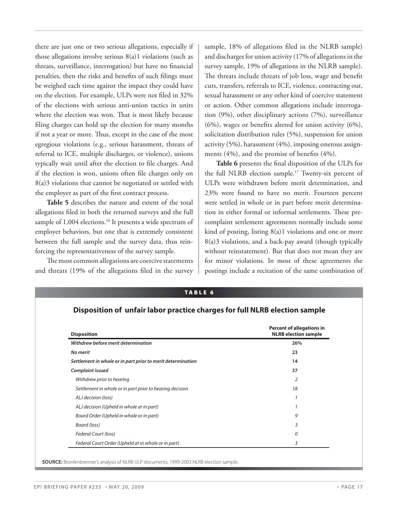there are just one or two serious allegations, especially if those allegations involve serious 8(a)1 violations (such as threats, surveillance, interrogation) but have no financial penalties, then the risks and benefits of such filings must be weighed each time against the impact they could have on the election. For example, ULPs were not filed in 32% of the elections with serious anti-union tactics in units where the election was won. That is most likely because filing charges can hold up the election for many months if not a year or more. Thus, except in the case of the most egregious violations (e.g., serious harassment, threats of referral to ICE, multiple discharges, or violence), unions typically wait until after the election to file charges. And if the election is won, unions often file charges only on 8(a)3 violations that cannot be negotiated or settled with the employer as part of the first contract process.

**Table 5** describes the nature and extent of the total allegations filed in both the returned surveys and the full sample of 1,004 elections.<sup>16</sup> It presents a wide spectrum of employer behaviors, but one that is extremely consistent between the full sample and the survey data, thus reinforcing the representativeness of the survey sample.

The most common allegations are coercive statements and threats (19% of the allegations filed in the survey sample, 18% of allegations filed in the NLRB sample) and discharges for union activity (17% of allegations in the survey sample, 19% of allegations in the NLRB sample). The threats include threats of job loss, wage and benefit cuts, transfers, referrals to ICE, violence, contracting out, sexual harassment or any other kind of coercive statement or action. Other common allegations include interrogation (9%), other disciplinary actions (7%), surveillance (6%), wages or benefits altered for union activity (6%), solicitation distribution rules (5%), suspension for union activity (5%), harassment (4%), imposing onerous assignments  $(4\%)$ , and the promise of benefits  $(4\%)$ .

Table 6 presents the final disposition of the ULPs for the full NLRB election sample.17 Twenty-six percent of ULPs were withdrawn before merit determination, and 23% were found to have no merit. Fourteen percent were settled in whole or in part before merit determination in either formal or informal settlements. These precomplaint settlement agreements normally include some kind of posting, listing 8(a)1 violations and one or more 8(a)3 violations, and a back-pay award (though typically without reinstatement). But that does not mean they are for minor violations. In most of these agreements the postings include a recitation of the same combination of

| <b>Disposition</b>                                          | <b>Percent of allegations in</b><br><b>NLRB</b> election sample |
|-------------------------------------------------------------|-----------------------------------------------------------------|
| Withdrew before merit determination                         | 26%                                                             |
| <b>No merit</b>                                             | 23                                                              |
| Settlement in whole or in part prior to merit determination | 14                                                              |
| Complaint issued                                            | 37                                                              |
| Withdrew prior to hearing                                   | $\overline{2}$                                                  |
| Settlement in whole or in part prior to hearing decision    | 18                                                              |
| ALJ decision (loss)                                         |                                                                 |
| ALJ decision (Upheld in whole or in part)                   |                                                                 |
| Board Order (Upheld in whole or in part)                    | 9                                                               |
| Board (loss)                                                | 3                                                               |
| Federal Court (loss)                                        | 0                                                               |
| Federal Court Order (Upheld at in whole or in part)         | 3                                                               |

**TABLE 6**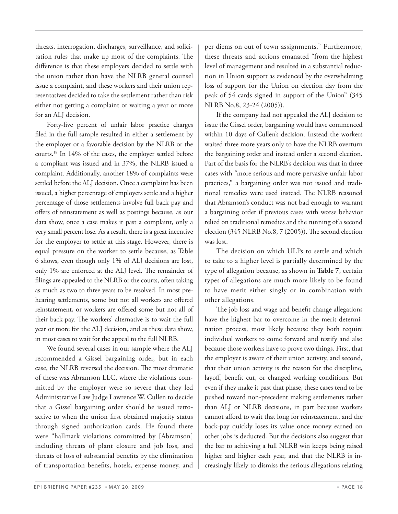threats, interrogation, discharges, surveillance, and solicitation rules that make up most of the complaints. The difference is that these employers decided to settle with the union rather than have the NLRB general counsel issue a complaint, and these workers and their union representatives decided to take the settlement rather than risk either not getting a complaint or waiting a year or more for an ALJ decision.

Forty-five percent of unfair labor practice charges filed in the full sample resulted in either a settlement by the employer or a favorable decision by the NLRB or the courts.18 In 14% of the cases, the employer settled before a compliant was issued and in 37%, the NLRB issued a complaint. Additionally, another 18% of complaints were settled before the ALJ decision. Once a complaint has been issued, a higher percentage of employers settle and a higher percentage of those settlements involve full back pay and offers of reinstatement as well as postings because, as our data show, once a case makes it past a complaint, only a very small percent lose. As a result, there is a great incentive for the employer to settle at this stage. However, there is equal pressure on the worker to settle because, as Table 6 shows, even though only 1% of ALJ decisions are lost, only 1% are enforced at the ALJ level. The remainder of filings are appealed to the NLRB or the courts, often taking as much as two to three years to be resolved. In most prehearing settlements, some but not all workers are offered reinstatement, or workers are offered some but not all of their back-pay. The workers' alternative is to wait the full year or more for the ALJ decision, and as these data show, in most cases to wait for the appeal to the full NLRB.

 We found several cases in our sample where the ALJ recommended a Gissel bargaining order, but in each case, the NLRB reversed the decision. The most dramatic of these was Abramson LLC, where the violations committed by the employer were so severe that they led Administrative Law Judge Lawrence W. Cullen to decide that a Gissel bargaining order should be issued retroactive to when the union first obtained majority status through signed authorization cards. He found there were "hallmark violations committed by [Abramson] including threats of plant closure and job loss, and threats of loss of substantial benefits by the elimination of transportation benefits, hotels, expense money, and

per diems on out of town assignments." Furthermore, these threats and actions emanated "from the highest level of management and resulted in a substantial reduction in Union support as evidenced by the overwhelming loss of support for the Union on election day from the peak of 54 cards signed in support of the Union" (345 NLRB No.8, 23-24 (2005)).

 If the company had not appealed the ALJ decision to issue the Gissel order, bargaining would have commenced within 10 days of Cullen's decision. Instead the workers waited three more years only to have the NLRB overturn the bargaining order and instead order a second election. Part of the basis for the NLRB's decision was that in three cases with "more serious and more pervasive unfair labor practices," a bargaining order was not issued and traditional remedies were used instead. The NLRB reasoned that Abramson's conduct was not bad enough to warrant a bargaining order if previous cases with worse behavior relied on traditional remedies and the running of a second election (345 NLRB No.8, 7 (2005)). The second election was lost.

 The decision on which ULPs to settle and which to take to a higher level is partially determined by the type of allegation because, as shown in **Table 7**, certain types of allegations are much more likely to be found to have merit either singly or in combination with other allegations.

The job loss and wage and benefit change allegations have the highest bar to overcome in the merit determination process, most likely because they both require individual workers to come forward and testify and also because those workers have to prove two things. First, that the employer is aware of their union activity, and second, that their union activity is the reason for the discipline, layoff, benefit cut, or changed working conditions. But even if they make it past that phase, these cases tend to be pushed toward non-precedent making settlements rather than ALJ or NLRB decisions, in part because workers cannot afford to wait that long for reinstatement, and the back-pay quickly loses its value once money earned on other jobs is deducted. But the decisions also suggest that the bar to achieving a full NLRB win keeps being raised higher and higher each year, and that the NLRB is increasingly likely to dismiss the serious allegations relating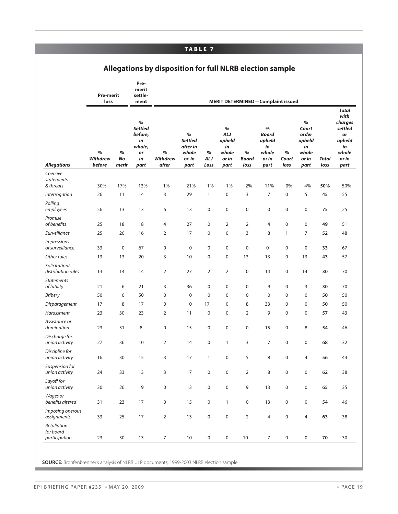#### **TABLE 7**

#### **Allegations by disposition for full NLRB election sample**

|                                                     | <b>Pre-merit</b><br>loss       |                     | Pre-<br>merit<br>settle-<br>ment                                      |                               |                                                           |                     | <b>MERIT DETERMINED-Complaint issued</b>                     |                    |                                                             |                     |                                                               |                      |                                                                                            |
|-----------------------------------------------------|--------------------------------|---------------------|-----------------------------------------------------------------------|-------------------------------|-----------------------------------------------------------|---------------------|--------------------------------------------------------------|--------------------|-------------------------------------------------------------|---------------------|---------------------------------------------------------------|----------------------|--------------------------------------------------------------------------------------------|
| <b>Allegations</b>                                  | %<br><b>Withdrew</b><br>before | %<br>No<br>merit    | $\%$<br><b>Settled</b><br>before,<br>in<br>whole,<br>or<br>in<br>part | %<br><b>Withdrew</b><br>after | %<br><b>Settled</b><br>after in<br>whole<br>or in<br>part | %<br>ALJ<br>Loss    | $\%$<br><b>ALJ</b><br>upheld<br>in<br>whole<br>or in<br>part | %<br>Board<br>loss | %<br><b>Board</b><br>upheld<br>in<br>whole<br>or in<br>part | %<br>Court<br>loss  | %<br>Court<br>order<br>upheld<br>in<br>whole<br>or in<br>part | <b>Total</b><br>loss | <b>Total</b><br>with<br>charges<br>settled<br>or<br>upheld<br>in<br>whole<br>or in<br>part |
| Coercive<br>statements<br>& threats                 | 30%                            | 17%                 | 13%                                                                   | 1%                            | 21%                                                       | 1%                  | 1%                                                           | 2%                 | 11%                                                         | 0%                  | 4%                                                            | 50%                  | 50%                                                                                        |
| Interrogation                                       | 26                             | 11                  | 14                                                                    | 3                             | 29                                                        | 1                   | 0                                                            | 3                  | $\overline{7}$                                              | 0                   | 5                                                             | 45                   | 55                                                                                         |
| Polling<br>employees                                | 56                             | 13                  | 13                                                                    | 6                             | 13                                                        | $\pmb{0}$           | 0                                                            | 0                  | $\mathsf{O}\xspace$                                         | $\pmb{0}$           | $\mathsf 0$                                                   | 75                   | 25                                                                                         |
| Promise<br>of benefits                              | 25                             | 18                  | 18                                                                    | 4                             | 27                                                        | $\pmb{0}$           | 2                                                            | $\overline{2}$     | 4                                                           | $\mathsf 0$         | $\mathbf 0$                                                   | 49                   | 51                                                                                         |
| Surveillance                                        | 25                             | 20                  | 16                                                                    | $\overline{2}$                | 17                                                        | $\pmb{0}$           | 0                                                            | 3                  | 8                                                           | $\mathbf{1}$        | $\overline{7}$                                                | 52                   | 48                                                                                         |
| <i><u><b>Impressions</b></u></i><br>of surveillance | 33                             | $\mathsf{O}\xspace$ | 67                                                                    | 0                             | $\mathbf 0$                                               | $\mathbf 0$         | 0                                                            | 0                  | $\mathbf 0$                                                 | $\pmb{0}$           | $\mathbf 0$                                                   | 33                   | 67                                                                                         |
| Other rules                                         | 13                             | 13                  | 20                                                                    | 3                             | 10                                                        | $\pmb{0}$           | 0                                                            | 13                 | 13                                                          | $\mathsf 0$         | 13                                                            | 43                   | 57                                                                                         |
| Solicitation/<br>distribution rules                 | 13                             | 14                  | 14                                                                    | $\overline{2}$                | 27                                                        | $\overline{2}$      | $\overline{2}$                                               | 0                  | 14                                                          | $\mathbf 0$         | 14                                                            | 30                   | 70                                                                                         |
| <b>Statements</b><br>of futility                    | 21                             | 6                   | 21                                                                    | 3                             | 36                                                        | $\mathbf 0$         | 0                                                            | 0                  | 9                                                           | $\mathsf 0$         | 3                                                             | 30                   | 70                                                                                         |
| <b>Bribery</b>                                      | 50                             | $\mathbf 0$         | 50                                                                    | 0                             | $\mathbf 0$                                               | $\mathbf 0$         | $\mathbf 0$                                                  | 0                  | $\mathbf 0$                                                 | $\pmb{0}$           | $\mathbf 0$                                                   | 50                   | 50                                                                                         |
| Disparagement                                       | 17                             | 8                   | 17                                                                    | $\pmb{0}$                     | $\pmb{0}$                                                 | 17                  | 0                                                            | 8                  | 33                                                          | $\pmb{0}$           | $\mathbf 0$                                                   | 50                   | 50                                                                                         |
| Harassment                                          | 23                             | 30                  | 23                                                                    | $\overline{2}$                | 11                                                        | $\mathbf 0$         | 0                                                            | $\overline{2}$     | 9                                                           | $\pmb{0}$           | $\mathbf 0$                                                   | 57                   | 43                                                                                         |
| Assistance or<br>domination                         | 23                             | 31                  | 8                                                                     | 0                             | 15                                                        | $\mathbf 0$         | 0                                                            | 0                  | 15                                                          | $\pmb{0}$           | 8                                                             | 54                   | 46                                                                                         |
| Discharge for<br>union activity                     | 27                             | 36                  | 10                                                                    | $\overline{2}$                | 14                                                        | $\mathsf 0$         | 1                                                            | 3                  | $\overline{7}$                                              | $\mathsf 0$         | $\mathsf 0$                                                   | 68                   | 32                                                                                         |
| Discipline for<br>union activity                    | 16                             | 30                  | 15                                                                    | 3                             | 17                                                        | $\mathbf{1}$        | $\boldsymbol{0}$                                             | 5                  | 8                                                           | $\mathbf 0$         | $\overline{4}$                                                | 56                   | 44                                                                                         |
| Suspension for<br>union activity                    | 24                             | 33                  | 13                                                                    | 3                             | 17                                                        | $\pmb{0}$           | 0                                                            | 2                  | 8                                                           | 0                   | $\boldsymbol{0}$                                              | 62                   | 38                                                                                         |
| Layoff for<br>union activity                        | $30\,$                         | 26                  | 9                                                                     | 0                             | 13                                                        | $\mathbf 0$         | 0                                                            | 9                  | 13                                                          | $\mathsf{O}\xspace$ | $\mathbf 0$                                                   | 65                   | 35                                                                                         |
| Wages or<br>benefits altered                        | 31                             | 23                  | 17                                                                    | 0                             | 15                                                        | $\mathbf 0$         | $\mathbf{1}$                                                 | $\pmb{0}$          | 13                                                          | $\mathsf{O}\xspace$ | $\mathbf 0$                                                   | 54                   | 46                                                                                         |
| Imposing onerous<br>assignments                     | 33                             | 25                  | 17                                                                    | $\overline{2}$                | 13                                                        | $\mathbf 0$         | 0                                                            | $\overline{2}$     | $\overline{4}$                                              | $\mathsf{O}\xspace$ | 4                                                             | 63                   | 38                                                                                         |
| Retaliation<br>for board<br>participation           | 23                             | 30                  | 13                                                                    | $\overline{7}$                | 10 <sup>°</sup>                                           | $\mathsf{O}\xspace$ | $\pmb{0}$                                                    | 10                 | $\overline{7}$                                              | $\mathsf{O}\xspace$ | $\mathbf 0$                                                   | 70                   | 30                                                                                         |

**SOURCE:** Bronfenbrenner's analysis of NLRB ULP documents, 1999-2003 NLRB election sample.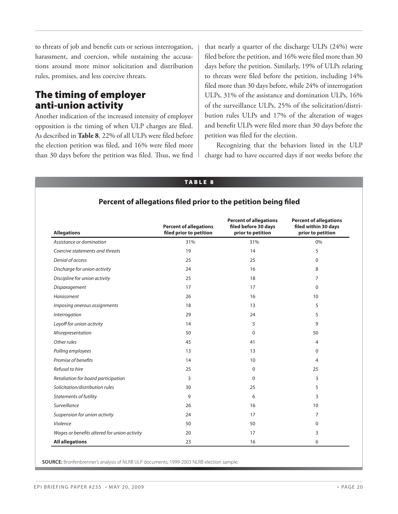to threats of job and benefit cuts or serious interrogation, harassment, and coercion, while sustaining the accusations around more minor solicitation and distribution rules, promises, and less coercive threats.

### **The timing of employer anti-union activity**

Another indication of the increased intensity of employer opposition is the timing of when ULP charges are filed. As described in **Table 8**, 22% of all ULPs were filed before the election petition was filed, and 16% were filed more than 30 days before the petition was filed. Thus, we find that nearly a quarter of the discharge ULPs (24%) were filed before the petition, and 16% were filed more than 30 days before the petition. Similarly, 19% of ULPs relating to threats were filed before the petition, including 14% filed more than 30 days before, while 24% of interrogation ULPs, 31% of the assistance and domination ULPs, 16% of the surveillance ULPs, 25% of the solicitation/distribution rules ULPs and 17% of the alteration of wages and benefit ULPs were filed more than 30 days before the petition was filed for the election.

 Recognizing that the behaviors listed in the ULP charge had to have occurred days if not weeks before the

#### **TABLE 8**

| <b>Allegations</b>                           | <b>Percent of allegations</b><br>filed prior to petition | <b>Percent of allegations</b><br>filed before 30 days<br>prior to petition | <b>Percent of allegations</b><br>filed within 30 days<br>prior to petition |
|----------------------------------------------|----------------------------------------------------------|----------------------------------------------------------------------------|----------------------------------------------------------------------------|
| Assistance or domination                     | 31%                                                      | 31%                                                                        | 0%                                                                         |
| Coercive statements and threats              | 19                                                       | 14                                                                         | 5                                                                          |
| Denial of access                             | 25                                                       | 25                                                                         | $\Omega$                                                                   |
| Discharge for union activity                 | 24                                                       | 16                                                                         | 8                                                                          |
| Discipline for union activity                | 25                                                       | 18                                                                         | $\overline{7}$                                                             |
| Disparagement                                | 17                                                       | 17                                                                         | $\mathbf 0$                                                                |
| Harassment                                   | 26                                                       | 16                                                                         | 10                                                                         |
| Imposing onerous assignments                 | 18                                                       | 13                                                                         | 5                                                                          |
| Interrogation                                | 29                                                       | 24                                                                         | 5                                                                          |
| Layoff for union activity                    | 14                                                       | 5                                                                          | 9                                                                          |
| Misrepresentation                            | 50                                                       | 0                                                                          | 50                                                                         |
| Other rules                                  | 45                                                       | 41                                                                         | 4                                                                          |
| Polling employees                            | 13                                                       | 13                                                                         | $\Omega$                                                                   |
| Promise of benefits                          | 14                                                       | 10                                                                         | 4                                                                          |
| Refusal to hire                              | 25                                                       | 0                                                                          | 25                                                                         |
| Retaliation for board participation          | 3                                                        | 0                                                                          | 3                                                                          |
| Solicitation/distribution rules              | 30                                                       | 25                                                                         | 5                                                                          |
| <b>Statements of futility</b>                | 9                                                        | 6                                                                          | 3                                                                          |
| Surveillance                                 | 26                                                       | 16                                                                         | 10                                                                         |
| Suspension for union activity                | 24                                                       | 17                                                                         | $\overline{7}$                                                             |
| Violence                                     | 50                                                       | 50                                                                         | 0                                                                          |
| Wages or benefits altered for union activity | 20                                                       | 17                                                                         | 3                                                                          |
| <b>All allegations</b>                       | 23                                                       | 16                                                                         | 6                                                                          |

**SOURCE:** Bronfenbrenner's analysis of NLRB ULP documents, 1999-2003 NLRB election sample.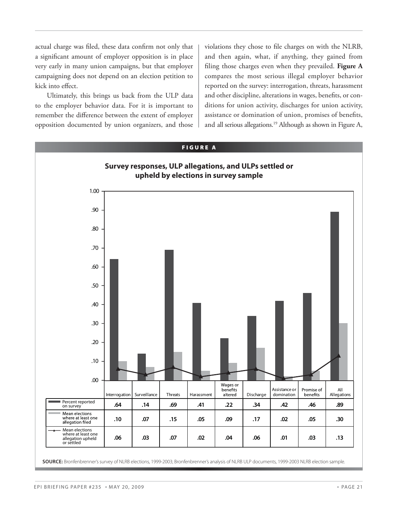actual charge was filed, these data confirm not only that a significant amount of employer opposition is in place very early in many union campaigns, but that employer campaigning does not depend on an election petition to kick into effect.

 Ultimately, this brings us back from the ULP data to the employer behavior data. For it is important to remember the difference between the extent of employer opposition documented by union organizers, and those

violations they chose to file charges on with the NLRB, and then again, what, if anything, they gained from filing those charges even when they prevailed. Figure A compares the most serious illegal employer behavior reported on the survey: interrogation, threats, harassment and other discipline, alterations in wages, benefits, or conditions for union activity, discharges for union activity, assistance or domination of union, promises of benefits, and all serious allegations.<sup>19</sup> Although as shown in Figure A,

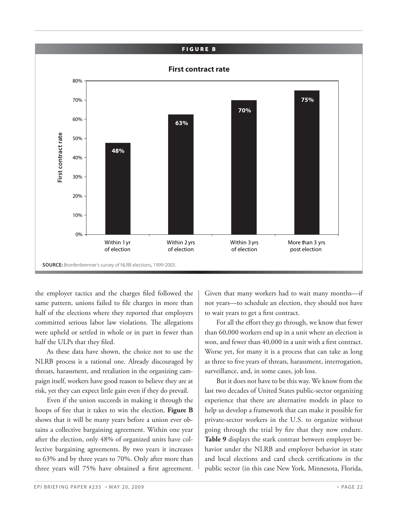

**SOURCE:** Bronfenbrenner's survey of NLRB elections, 1999-2003.

the employer tactics and the charges filed followed the same pattern, unions failed to file charges in more than half of the elections where they reported that employers committed serious labor law violations. The allegations were upheld or settled in whole or in part in fewer than half the ULPs that they filed.

 As these data have shown, the choice not to use the NLRB process is a rational one. Already discouraged by threats, harassment, and retaliation in the organizing campaign itself, workers have good reason to believe they are at risk, yet they can expect little gain even if they do prevail.

 Even if the union succeeds in making it through the hoops of fire that it takes to win the election, Figure B shows that it will be many years before a union ever obtains a collective bargaining agreement. Within one year after the election, only 48% of organized units have collective bargaining agreements. By two years it increases to 63% and by three years to 70%. Only after more than three years will 75% have obtained a first agreement.

Given that many workers had to wait many months—if not years—to schedule an election, they should not have to wait years to get a first contract.

For all the effort they go through, we know that fewer than 60,000 workers end up in a unit where an election is won, and fewer than 40,000 in a unit with a first contract. Worse yet, for many it is a process that can take as long as three to five years of threats, harassment, interrogation, surveillance, and, in some cases, job loss.

 But it does not have to be this way. We know from the last two decades of United States public-sector organizing experience that there are alternative models in place to help us develop a framework that can make it possible for private-sector workers in the U.S. to organize without going through the trial by fire that they now endure. **Table 9** displays the stark contrast between employer behavior under the NLRB and employer behavior in state and local elections and card check certifications in the public sector (in this case New York, Minnesota, Florida,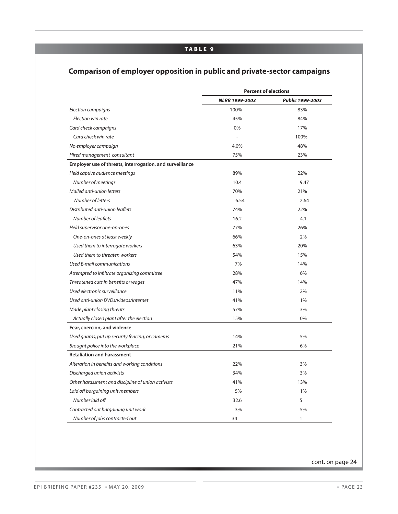#### **TABLE 9**

#### **Comparison of employer opposition in public and private-sector campaigns**

|                                                          | <b>Percent of elections</b> |                  |  |
|----------------------------------------------------------|-----------------------------|------------------|--|
|                                                          | NLRB 1999-2003              | Public 1999-2003 |  |
| Election campaigns                                       | 100%                        | 83%              |  |
| Election win rate                                        | 45%                         | 84%              |  |
| Card check campaigns                                     | 0%                          | 17%              |  |
| Card check win rate                                      |                             | 100%             |  |
| No employer campaign                                     | 4.0%                        | 48%              |  |
| Hired management consultant                              | 75%                         | 23%              |  |
| Employer use of threats, interrogation, and surveillance |                             |                  |  |
| Held captive audience meetings                           | 89%                         | 22%              |  |
| Number of meetings                                       | 10.4                        | 9.47             |  |
| Mailed anti-union letters                                | 70%                         | 21%              |  |
| Number of letters                                        | 6.54                        | 2.64             |  |
| Distributed anti-union leaflets                          | 74%                         | 22%              |  |
| Number of leaflets                                       | 16.2                        | 4.1              |  |
| Held supervisor one-on-ones                              | 77%                         | 26%              |  |
| One-on-ones at least weekly                              | 66%                         | 2%               |  |
| Used them to interrogate workers                         | 63%                         | 20%              |  |
| Used them to threaten workers                            | 54%                         | 15%              |  |
| Used E-mail communications                               | 7%                          | 14%              |  |
| Attempted to infiltrate organizing committee             | 28%                         | 6%               |  |
| Threatened cuts in benefits or wages                     | 47%                         | 14%              |  |
| Used electronic surveillance                             | 11%                         | 2%               |  |
| Used anti-union DVDs/videos/Internet                     | 41%                         | $1\%$            |  |
| Made plant closing threats                               | 57%                         | 3%               |  |
| Actually closed plant after the election                 | 15%                         | 0%               |  |
| Fear, coercion, and violence                             |                             |                  |  |
| Used guards, put up security fencing, or cameras         | 14%                         | 5%               |  |
| Brought police into the workplace                        | 21%                         | 6%               |  |
| <b>Retaliation and harassment</b>                        |                             |                  |  |
| Alteration in benefits and working conditions            | 22%                         | 3%               |  |
| Discharged union activists                               | 34%                         | 3%               |  |
| Other harassment and discipline of union activists       | 41%                         | 13%              |  |
| Laid off bargaining unit members                         | 5%                          | 1%               |  |
| Number laid off                                          | 32.6                        | 5                |  |
| Contracted out bargaining unit work                      | 3%                          | 5%               |  |
| Number of jobs contracted out                            | 34                          | $\mathbf{1}$     |  |

cont. on page 24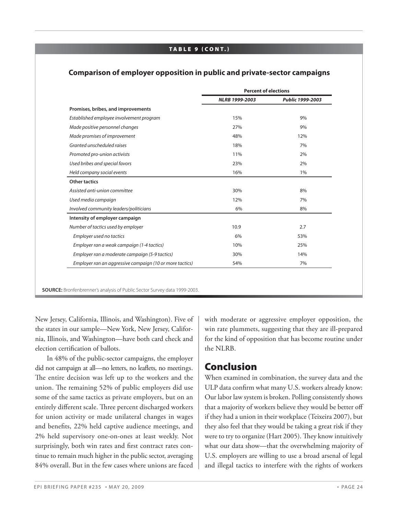#### **TA B L E 9 ( CO N T.)**

#### **Comparison of employer opposition in public and private-sector campaigns**

|                                                          | <b>Percent of elections</b> |                  |
|----------------------------------------------------------|-----------------------------|------------------|
|                                                          | NLRB 1999-2003              | Public 1999-2003 |
| Promises, bribes, and improvements                       |                             |                  |
| Established employee involvement program                 | 15%                         | 9%               |
| Made positive personnel changes                          | 27%                         | 9%               |
| Made promises of improvement                             | 48%                         | 12%              |
| Granted unscheduled raises                               | 18%                         | 7%               |
| Promoted pro-union activists                             | 11%                         | 2%               |
| Used bribes and special favors                           | 23%                         | 2%               |
| Held company social events                               | 16%                         | 1%               |
| <b>Other tactics</b>                                     |                             |                  |
| Assisted anti-union committee                            | 30%                         | 8%               |
| Used media campaign                                      | 12%                         | 7%               |
| Involved community leaders/politicians                   | 6%                          | 8%               |
| Intensity of employer campaign                           |                             |                  |
| Number of tactics used by employer                       | 10.9                        | 2.7              |
| Employer used no tactics                                 | 6%                          | 53%              |
| Employer ran a weak campaign (1-4 tactics)               | 10%                         | 25%              |
| Employer ran a moderate campaign (5-9 tactics)           | 30%                         | 14%              |
| Employer ran an aggressive campaign (10 or more tactics) | 54%                         | 7%               |

New Jersey, California, Illinois, and Washington). Five of the states in our sample—New York, New Jersey, California, Illinois, and Washington—have both card check and election certification of ballots.

 In 48% of the public-sector campaigns, the employer did not campaign at all—no letters, no leaflets, no meetings. The entire decision was left up to the workers and the union. The remaining 52% of public employers did use some of the same tactics as private employers, but on an entirely different scale. Three percent discharged workers for union activity or made unilateral changes in wages and benefits, 22% held captive audience meetings, and 2% held supervisory one-on-ones at least weekly. Not surprisingly, both win rates and first contract rates continue to remain much higher in the public sector, averaging 84% overall. But in the few cases where unions are faced with moderate or aggressive employer opposition, the win rate plummets, suggesting that they are ill-prepared for the kind of opposition that has become routine under the NLRB.

### **Conclusion**

When examined in combination, the survey data and the ULP data confirm what many U.S. workers already know: Our labor law system is broken. Polling consistently shows that a majority of workers believe they would be better off if they had a union in their workplace (Teixeira 2007), but they also feel that they would be taking a great risk if they were to try to organize (Hart 2005). They know intuitively what our data show—that the overwhelming majority of U.S. employers are willing to use a broad arsenal of legal and illegal tactics to interfere with the rights of workers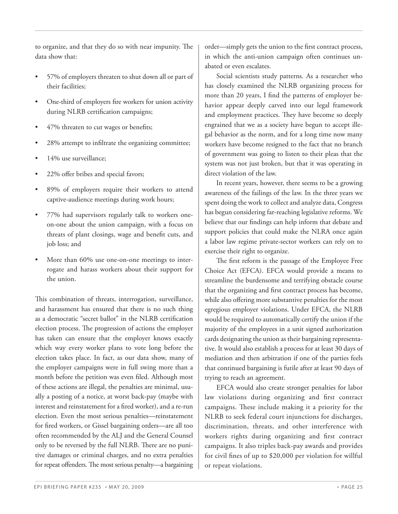to organize, and that they do so with near impunity. The data show that:

- 57% of employers threaten to shut down all or part of their facilities;
- One-third of employers fire workers for union activity during NLRB certification campaigns;
- 47% threaten to cut wages or benefits;
- 28% attempt to infiltrate the organizing committee;
- 14% use surveillance;
- 22% offer bribes and special favors;
- 89% of employers require their workers to attend captive-audience meetings during work hours;
- 77% had supervisors regularly talk to workers oneon-one about the union campaign, with a focus on threats of plant closings, wage and benefit cuts, and job loss; and
- More than 60% use one-on-one meetings to interrogate and harass workers about their support for the union.

This combination of threats, interrogation, surveillance, and harassment has ensured that there is no such thing as a democratic "secret ballot" in the NLRB certification election process. The progression of actions the employer has taken can ensure that the employer knows exactly which way every worker plans to vote long before the election takes place. In fact, as our data show, many of the employer campaigns were in full swing more than a month before the petition was even filed. Although most of these actions are illegal, the penalties are minimal, usually a posting of a notice, at worst back-pay (maybe with interest and reinstatement for a fired worker), and a re-run election. Even the most serious penalties—reinstatement for fired workers, or Gissel bargaining orders—are all too often recommended by the ALJ and the General Counsel only to be reversed by the full NLRB. There are no punitive damages or criminal charges, and no extra penalties for repeat offenders. The most serious penalty—a bargaining

order—simply gets the union to the first contract process, in which the anti-union campaign often continues unabated or even escalates.

 Social scientists study patterns. As a researcher who has closely examined the NLRB organizing process for more than 20 years, I find the patterns of employer behavior appear deeply carved into our legal framework and employment practices. They have become so deeply engrained that we as a society have begun to accept illegal behavior as the norm, and for a long time now many workers have become resigned to the fact that no branch of government was going to listen to their pleas that the system was not just broken, but that it was operating in direct violation of the law.

 In recent years, however, there seems to be a growing awareness of the failings of the law. In the three years we spent doing the work to collect and analyze data, Congress has begun considering far-reaching legislative reforms. We believe that our findings can help inform that debate and support policies that could make the NLRA once again a labor law regime private-sector workers can rely on to exercise their right to organize.

The first reform is the passage of the Employee Free Choice Act (EFCA). EFCA would provide a means to streamline the burdensome and terrifying obstacle course that the organizing and first contract process has become, while also offering more substantive penalties for the most egregious employer violations. Under EFCA, the NLRB would be required to automatically certify the union if the majority of the employees in a unit signed authorization cards designating the union as their bargaining representative. It would also establish a process for at least 30 days of mediation and then arbitration if one of the parties feels that continued bargaining is futile after at least 90 days of trying to reach an agreement.

 EFCA would also create stronger penalties for labor law violations during organizing and first contract campaigns. These include making it a priority for the NLRB to seek federal court injunctions for discharges, discrimination, threats, and other interference with workers rights during organizing and first contract campaigns. It also triples back-pay awards and provides for civil fines of up to \$20,000 per violation for willful or repeat violations.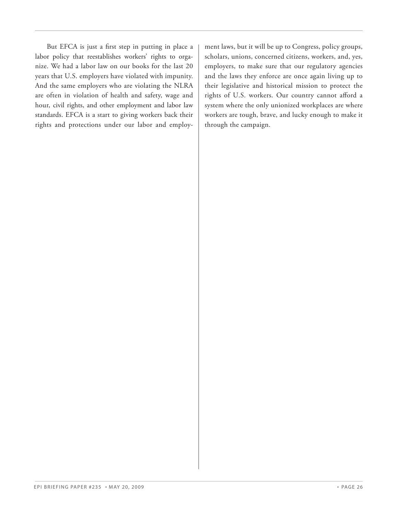But EFCA is just a first step in putting in place a labor policy that reestablishes workers' rights to organize. We had a labor law on our books for the last 20 years that U.S. employers have violated with impunity. And the same employers who are violating the NLRA are often in violation of health and safety, wage and hour, civil rights, and other employment and labor law standards. EFCA is a start to giving workers back their rights and protections under our labor and employment laws, but it will be up to Congress, policy groups, scholars, unions, concerned citizens, workers, and, yes, employers, to make sure that our regulatory agencies and the laws they enforce are once again living up to their legislative and historical mission to protect the rights of U.S. workers. Our country cannot afford a system where the only unionized workplaces are where workers are tough, brave, and lucky enough to make it through the campaign.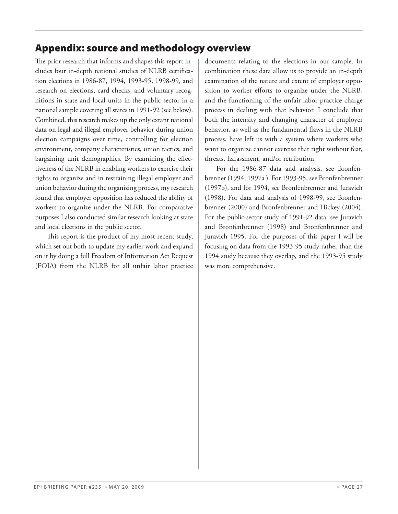# **Appendix: source and methodology overview**

The prior research that informs and shapes this report includes four in-depth national studies of NLRB certification elections in 1986-87, 1994, 1993-95, 1998-99, and research on elections, card checks, and voluntary recognitions in state and local units in the public sector in a national sample covering all states in 1991-92 (see below). Combined, this research makes up the only extant national data on legal and illegal employer behavior during union election campaigns over time, controlling for election environment, company characteristics, union tactics, and bargaining unit demographics. By examining the effectiveness of the NLRB in enabling workers to exercise their rights to organize and in restraining illegal employer and union behavior during the organizing process, my research found that employer opposition has reduced the ability of workers to organize under the NLRB. For comparative purposes I also conducted similar research looking at state and local elections in the public sector.

This report is the product of my most recent study, which set out both to update my earlier work and expand on it by doing a full Freedom of Information Act Request (FOIA) from the NLRB for all unfair labor practice documents relating to the elections in our sample. In combination these data allow us to provide an in-depth examination of the nature and extent of employer opposition to worker efforts to organize under the NLRB, and the functioning of the unfair labor practice charge process in dealing with that behavior. I conclude that both the intensity and changing character of employer behavior, as well as the fundamental flaws in the NLRB process, have left us with a system where workers who want to organize cannot exercise that right without fear, threats, harassment, and/or retribution.

 For the 1986-87 data and analysis, see Bronfenbrenner (1994; 1997a ). For 1993-95, see Bronfenbrenner (1997b), and for 1994, see Bronfenbrenner and Juravich (1998). For data and analysis of 1998-99, see Bronfenbrenner (2000) and Bronfenbrenner and Hickey (2004). For the public-sector study of 1991-92 data, see Juravich and Bronfenbrenner (1998) and Bronfenbrenner and Juravich 1995. For the purposes of this paper I will be focusing on data from the 1993-95 study rather than the 1994 study because they overlap, and the 1993-95 study was more comprehensive.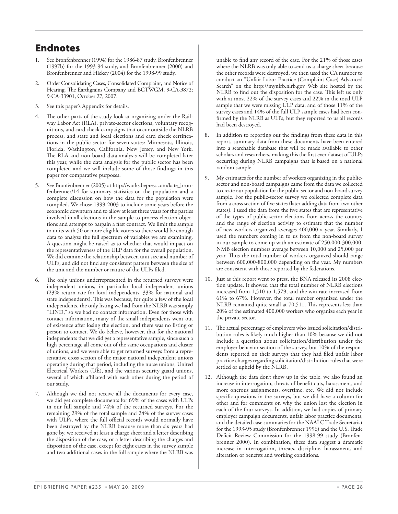# **Endnotes**

- See Bronfenbrenner (1994) for the 1986-87 study, Bronfenbrenner (1997b) for the 1993-94 study, and Bronfenbrenner (2000) and Bronfenbrenner and Hickey (2004) for the 1998-99 study.
- 2. Order Consolidating Cases, Consolidated Complaint, and Notice of Hearing. The Earthgrains Company and BCTWGM, 9-CA-3872; 9-CA-33901, October 27, 2007.
- 3. See this paper's Appendix for details.
- 4. The other parts of the study look at organizing under the Railway Labor Act (RLA), private-sector elections, voluntary recognitions, and card check campaigns that occur outside the NLRB process, and state and local elections and card check certifications in the public sector for seven states: Minnesota, Illinois, Florida, Washington, California, New Jersey, and New York. The RLA and non-board data analysis will be completed later this year, while the data analysis for the public sector has been completed and we will include some of those findings in this paper for comparative purposes.
- 5. See Bronfenbrenner (2005) at http://works.bepress.com/kate\_bronfenbrenner/14 for summary statistics on the population and a complete discussion on how the data for the population were compiled. We chose 1999-2003 to include some years before the economic downturn and to allow at least three years for the parties involved in all elections in the sample to process election objections and attempt to bargain a first contract. We limit the sample to units with 50 or more eligible voters so there would be enough data to analyze the full spectrum of variables we are examining. A question might be raised as to whether that would impact on the representativeness of the ULP data for the overall population. We did examine the relationship between unit size and number of ULPs, and did not find any consistent pattern between the size of the unit and the number or nature of the ULPs filed.
- 6. The only unions underrepresented in the returned surveys were independent unions, in particular local independent unions (23% return rate for local independents, 33% for national and state independents). This was because, for quite a few of the local independents, the only listing we had from the NLRB was simply "LIND," so we had no contact information. Even for those with contact information, many of the small independents went out of existence after losing the election, and there was no listing or person to contact. We do believe, however, that for the national independents that we did get a representative sample, since such a high percentage all come out of the same occupations and cluster of unions, and we were able to get returned surveys from a representative cross section of the major national independent unions operating during that period, including the nurse unions, United Electrical Workers (UE), and the various security guard unions, several of which affiliated with each other during the period of our study.
- 7. Although we did not receive all the documents for every case, we did get complete documents for 69% of the cases with ULPs in our full sample and 74% of the returned surveys. For the remaining 29% of the total sample and 24% of the survey cases with ULPs, where the full official records would normally have been destroyed by the NLRB because more than six years had gone by, we received at least a charge sheet and a letter describing the disposition of the case, or a letter describing the charges and disposition of the case, except for eight cases in the survey sample and two additional cases in the full sample where the NLRB was

unable to find any record of the case. For the 21% of those cases where the NLRB was only able to send us a charge sheet because the other records were destroyed, we then used the CA number to conduct an "Unfair Labor Practice (Complaint Case) Advanced Search" on the http://mynlrb.nlrb.gov Web site hosted by the NLRB to find out the disposition for the case. This left us only with at most 22% of the survey cases and 22% in the total ULP sample that we were missing ULP data, and of those 11% of the survey cases and 14% of the full ULP sample cases had been confirmed by the NLRB as ULPs, but they reported to us all records had been destroyed.

- 8. In addition to reporting out the findings from these data in this report, summary data from these documents have been entered into a searchable database that will be made available to other scholars and researchers, making this the first ever dataset of ULPs occurring during NLRB campaigns that is based on a national random sample.
- 9. My estimates for the number of workers organizing in the publicsector and non-board campaigns came from the data we collected to create our population for the public-sector and non-board survey sample. For the public-sector survey we collected complete data from a cross section of five states (later adding data from two other states). I used the data from the five states that are representative of the types of public-sector elections from across the country and the range of election activity to estimate that the number of new workers organized averages 400,000 a year. Similarly, I used the numbers coming in to us from the non-board survey in our sample to come up with an estimate of 250,000-300,000. NMB election numbers average between 10,000 and 25,000 per year. Thus the total number of workers organized should range between 600,000-800,000 depending on the year. My numbers are consistent with those reported by the federations.
- 10. Just as this report went to press, the BNA released its 2008 election update. It showed that the total number of NLRB elections increased from 1,510 to 1,579, and the win rate increased from 61% to 67%. However, the total number organized under the NLRB remained quite small at 70,511. This represents less than 20% of the estimated 400,000 workers who organize each year in the private sector.
- 11. The actual percentage of employers who issued solicitation/distribution rules is likely much higher than 10% because we did not include a question about solicitation/distribution under the employer behavior section of the survey, but 10% of the respondents reported on their surveys that they had filed unfair labor practice charges regarding solicitation/distribution rules that were settled or upheld by the NLRB.
- 12. Although the data don't show up in the table, we also found an increase in interrogation, threats of benefit cuts, harassment, and more onerous assignments, overtime, etc. We did not include specific questions in the surveys, but we did have a column for other and for comments on why the union lost the election in each of the four surveys. In addition, we had copies of primary employer campaign documents, unfair labor practice documents, and the detailed case summaries for the NAALC Trade Secretariat for the 1993-95 study (Bronfenbrenner 1996) and the U.S. Trade Deficit Review Commission for the 1998-99 study (Bronfenbrenner 2000). In combination, these data suggest a dramatic increase in interrogation, threats, discipline, harassment, and alteration of benefits and working conditions.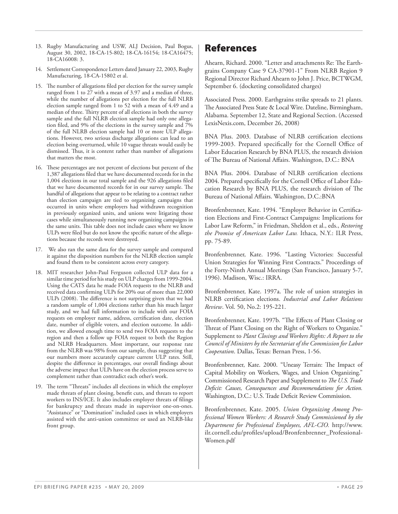- 13. Rugby Manufacturing and USW, ALJ Decision, Paul Bogus, August 30, 2002, 18-CA-15-802; 18-CA-16154; 18-CA16475; 18-CA16008: 3.
- 14. Settlement Correspondence Letters dated January 22, 2003, Rugby Manufacturing, 18-CA-15802 et al.
- 15. The number of allegations filed per election for the survey sample ranged from 1 to 27 with a mean of 3.97 and a median of three, while the number of allegations per election for the full NLRB election sample ranged from 1 to 52 with a mean of 4.49 and a median of three. Thirty percent of all elections in both the survey sample and the full NLRB election sample had only one allegation filed, and 9% of the elections in the survey sample and 7% of the full NLRB election sample had 10 or more ULP allegations. However, two serious discharge allegations can lead to an election being overturned, while 10 vague threats would easily be dismissed. Thus, it is content rather than number of allegations that matters the most.
- 16. These percentages are not percent of elections but percent of the 1,387 allegations filed that we have documented records for in the 1,004 elections in our total sample and the 926 allegations filed that we have documented records for in our survey sample. The handful of allegations that appear to be relating to a contract rather than election campaign are tied to organizing campaigns that occurred in units where employers had withdrawn recognition in previously organized units, and unions were litigating those cases while simultaneously running new organizing campaigns in the same units. This table does not include cases where we know ULPs were filed but do not know the specific nature of the allegations because the records were destroyed.
- 17. We also ran the same data for the survey sample and compared it against the disposition numbers for the NLRB election sample and found them to be consistent across every category.
- 18. MIT researcher John-Paul Ferguson collected ULP data for a similar time period for his study on ULP charges from 1999-2004. Using the CATS data he made FOIA requests to the NLRB and received data confirming ULPs for 20% out of more than 22,000 ULPs (2008). The difference is not surprising given that we had a random sample of 1,004 elections rather than his much larger study, and we had full information to include with our FOIA requests on employer name, address, certification date, election date, number of eligible voters, and election outcome. In addition, we allowed enough time to send two FOIA requests to the region and then a follow up FOIA request to both the Region and NLRB Headquarters. Most important, our response rate from the NLRB was 98% from our sample, thus suggesting that our numbers more accurately capture current ULP rates. Still, despite the difference in percentages, our overall findings about the adverse impact that ULPs have on the election process serve to complement rather than contradict each other's work.
- 19. The term "Threats" includes all elections in which the employer made threats of plant closing, benefit cuts, and threats to report workers to INS/ICE. It also includes employer threats of filings for bankruptcy and threats made in supervisor one-on-ones. "Assistance" or "Domination" included cases in which employers assisted with the anti-union committee or used an NLRB-like front group.

### **References**

Ahearn, Richard. 2000. "Letter and attachments Re: The Earthgrains Company Case 9 CA-37901-1" From NLRB Region 9 Regional Director Richard Ahearn to John J. Price, BCTWGM, September 6. (docketing consolidated charges)

Associated Press. 2000. Earthgrains strike spreads to 21 plants. The Associated Press State & Local Wire. Dateline, Birmingham, Alabama. September 12, State and Regional Section. (Accessed LexisNexis.com, December 26, 2008)

BNA Plus. 2003. Database of NLRB certification elections 1999-2003. Prepared specifically for the Cornell Office of Labor Education Research by BNA PLUS, the research division of The Bureau of National Affairs. Washington, D.C.: BNA

BNA Plus. 2004. Database of NLRB certification elections 2004. Prepared specifically for the Cornell Office of Labor Education Research by BNA PLUS, the research division of The Bureau of National Affairs. Washington, D.C.:BNA

Bronfenbrenner, Kate. 1994. "Employer Behavior in Certification Elections and First-Contract Campaigns: Implications for Labor Law Reform," in Friedman, Sheldon et al., eds., *Restoring the Promise of American Labor Law.* Ithaca, N.Y.: ILR Press, pp. 75-89.

Bronfenbrenner, Kate. 1996. "Lasting Victories: Successful Union Strategies for Winning First Contracts." Proceedings of the Forty-Ninth Annual Meetings (San Francisco, January 5-7, 1996). Madison, Wisc.: IRRA.

Bronfenbrenner, Kate. 1997a. The role of union strategies in NLRB certification elections. *Industrial and Labor Relations Review*. Vol. 50, No.2: 195-221.

Bronfenbrenner, Kate. 1997b. "The Effects of Plant Closing or Threat of Plant Closing on the Right of Workers to Organize." Supplement to *Plant Closings and Workers Rights: A Report to the Council of Ministers by the Secretariat of the Commission for Labor Cooperation*. Dallas, Texas: Bernan Press, 1-56.

Bronfenbrenner, Kate. 2000. "Uneasy Terrain: The Impact of Capital Mobility on Workers, Wages, and Union Organizing." Commissioned Research Paper and Supplement to *The U.S. Trade Defi cit: Causes, Consequences and Recommendations for Action.* Washington, D.C.: U.S. Trade Deficit Review Commission.

Bronfenbrenner, Kate. 2005. *Union Organizing Among Professional Women Workers: A Research Study Commissioned by the Department for Professional Employees, AFL-CIO.* http://www. ilr.cornell.edu/profiles/upload/Bronfenbrenner\_Professional-Women.pdf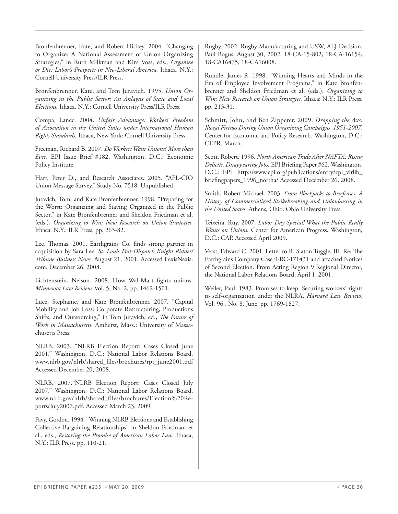Bronfenbrenner, Kate, and Robert Hickey. 2004. "Changing to Organize: A National Assessment of Union Organizing Strategies," in Ruth Milkman and Kim Voss, eds., *Organize or Die: Labor's Prospects in Neo-Liberal America.* Ithaca, N.Y.: Cornell University Press/ILR Press.

Bronfenbrenner, Kate, and Tom Juravich. 1995. *Union Organizing in the Public Sector: An Anlaysis of State and Local Elections.* Ithaca, N.Y.: Cornell University Press/ILR Press.

Compa, Lance. 2004. *Unfair Advantage: Workers' Freedom of Association in the United States under International Human Rights Standards.* Ithaca, New York: Cornell University Press.

Freeman, Richard B. 2007. *Do Workers Want Unions? More than Ever*. EPI Issue Brief #182. Washington, D.C.: Economic Policy Institute.

Hart, Peter D., and Research Associates. 2005. "AFL-CIO Union Message Survey." Study No. 7518. Unpublished.

Juravich, Tom, and Kate Bronfenbrenner. 1998. "Preparing for the Worst: Organizing and Staying Organized in the Public Sector," in Kate Bronfenbrenner and Sheldon Friedman et al. (eds.), *Organizing to Win: New Research on Union Strategies.*  Ithaca: N.Y.: ILR Press, pp. 263-82.

Lee, Thomas. 2001. Earthgrains Co. finds strong partner in acquisition by Sara Lee. *St. Louis Post-Dispatch Knight Ridder/ Tribune Business News.* August 21, 2001. Accessed LexisNexis. com. December 26, 2008.

Lichtenstein, Nelson. 2008. How Wal-Mart fights unions. *Minnesota Law Review.* Vol. 5, No. 2, pp. 1462-1501.

Luce, Stephanie, and Kate Bronfenbrenner. 2007. "Capital Mobility and Job Loss: Corporate Restructuring, Productions Shifts, and Outsourcing," in Tom Juravich, ed., *The Future of Work in Massachusetts.* Amherst, Mass.: University of Massachusetts Press.

NLRB. 2003. "NLRB Election Report: Cases Closed June 2001." Washington, D.C.: National Labor Relations Board. www.nlrb.gov/nlrb/shared\_fi les/brochures/rpt\_june2001.pdf Accessed December 20, 2008.

NLRB. 2007."NLRB Election Report: Cases Closed July 2007." Washington, D.C.: National Labor Relations Board. www.nlrb.gov/nlrb/shared\_files/brochures/Election%20Reports/July2007.pdf. Accessed March 23, 2009.

Pavy, Gordon. 1994. "Winning NLRB Elections and Establishing Collective Bargaining Relationships" in Sheldon Friedman et al., eds., *Restoring the Promise of American Labor Law*. Ithaca, N.Y.: ILR Press. pp. 110-21.

Rugby. 2002. Rugby Manufacturing and USW, ALJ Decision, Paul Bogus, August 30, 2002, 18-CA-15-802; 18-CA-16154; 18-CA16475; 18-CA16008.

Rundle, James R. 1998. "Winning Hearts and Minds in the Era of Employee Involvement Programs," in Kate Bronfenbrenner and Sheldon Friedman et al. (eds.), *Organizing to Win: New Research on Union Strategies.* Ithaca: N.Y.: ILR Press. pp. 213-31.

Schmitt, John, and Ben Zipperer. 2009. *Dropping the Axe: Illegal Firings During Union Organizing Campaigns*, *1951-2007*. Center for Economic and Policy Research. Washington, D.C.: CEPR. March.

Scott, Robert. 1996. *North American Trade After NAFTA: Rising Deficits, Disappearing Jobs.* EPI Briefing Paper #62. Washington, D.C.: EPI. http://www.epi.org/publications/entry/epi\_virlib\_ briefingpapers\_1996\_northa/ Accessed December 26, 2008.

Smith, Robert Michael. 2003. *From Blackjacks to Briefcases: A History of Commercialized Strikebreaking and Unionbusting in the United States.* Athens, Ohio: Ohio University Press.

Teixeira, Ruy. 2007. *Labor Day Special! What the Public Really Wants on Unions.* Center for American Progress. Washington, D.C.: CAP. Accessed April 2009.

Verst, Edward C. 2001. Letter to R. Slaton Tuggle, III. Re: The Earthgrains Company Case 9-RC-171431 and attached Notices of Second Election. From Acting Region 9 Regional Director, the National Labor Relations Board, April 1, 2001.

Weiler, Paul. 1983. Promises to keep: Securing workers' rights to self-organization under the NLRA. *Harvard Law Review*, Vol. 96., No. 8, June, pp. 1769-1827.